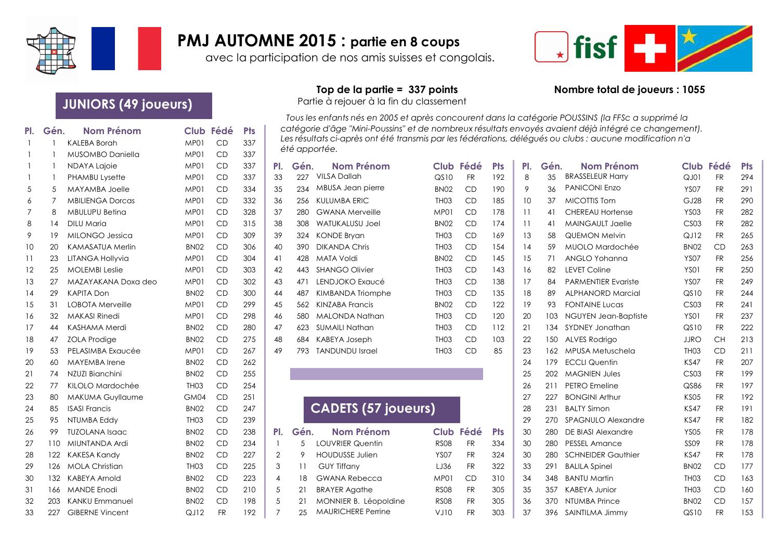

## **PMJ AUTOMNE 2015 : partie en 8 coups**

avec la participation de nos amis suisses et congolais.



# **JUNIORS (49 joueurs)** Partie à rejouer à la fin du classement

| PI.            | Gén. | <b>Nom Prénom</b>       |                  | Club Fédé | <b>Pts</b> |                |      | catégorie d'âge "Mini-Poussins" et de nombreux résultats envoyés avaient déjà intégré ce changement).                     |                  |           |            |     |      |                            |                  |           |            |
|----------------|------|-------------------------|------------------|-----------|------------|----------------|------|---------------------------------------------------------------------------------------------------------------------------|------------------|-----------|------------|-----|------|----------------------------|------------------|-----------|------------|
|                |      | <b>KALEBA Borah</b>     | MP01             | CD        | 337        |                |      | Les résultats ci-après ont été transmis par les fédérations, délégués ou clubs : aucune modification n'a<br>été apportée. |                  |           |            |     |      |                            |                  |           |            |
|                |      | MUSOMBO Daniella        | MP01             | CD        | 337        |                |      |                                                                                                                           |                  |           |            |     |      |                            |                  |           |            |
|                |      | NDAYA Lajoie            | MP01             | CD        | 337        | PI.            | Gén. | <b>Nom Prénom</b>                                                                                                         |                  | Club Fédé | <b>Pts</b> | PI. | Gén. | <b>Nom Prénom</b>          |                  | Club Fédé | <b>Pts</b> |
| $\overline{1}$ |      | PHAMBU Lysette          | MP01             | CD        | 337        | 33             | 227  | <b>VILSA Dallah</b>                                                                                                       | QS10             | <b>FR</b> | 192        | 8   | 35   | <b>BRASSELEUR Harry</b>    | QJ01             | <b>FR</b> | 294        |
| 5              | 5    | MAYAMBA Joelle          | MP01             | CD        | 334        | 35             | 234  | MBUSA Jean pierre                                                                                                         | BN <sub>02</sub> | CD        | 190        | 9   | 36   | <b>PANICONI Enzo</b>       | <b>YS07</b>      | <b>FR</b> | 291        |
| 6              |      | <b>MBILIENGA Dorcas</b> | MP01             | CD        | 332        | 36             | 256  | <b>KULUMBA ERIC</b>                                                                                                       | TH <sub>03</sub> | CD        | 185        | 10  | 37   | <b>MICOTTIS Tom</b>        | GJ28             | <b>FR</b> | <b>290</b> |
| 7              | 8    | <b>MBULUPU Beting</b>   | MP01             | CD        | 328        | 37             | 280  | <b>GWANA Merveille</b>                                                                                                    | MP01             | CD        | 178        | 11  | 41   | CHEREAU Hortense           | <b>YS03</b>      | <b>FR</b> | 282        |
| 8              | 14   | DILU Maria              | MP01             | CD        | 315        | 38             | 308  | <b>WATUKALUSU Joel</b>                                                                                                    | <b>BN02</b>      | CD        | 174        | 11  | 41   | <b>MAINGAULT Jaelle</b>    | CS <sub>03</sub> | <b>FR</b> | 282        |
| 9              | 19   | <b>MILONGO Jessica</b>  | MP01             | CD        | 309        | 39             | 324  | <b>KONDE Bryan</b>                                                                                                        | TH <sub>03</sub> | CD        | 169        | 13  | 58   | <b>QUEMON Melvin</b>       | QJ12             | <b>FR</b> | 265        |
| 10             | 20   | <b>KAMASATUA Merlin</b> | <b>BN02</b>      | CD        | 306        | 40             | 390  | <b>DIKANDA Chris</b>                                                                                                      | TH <sub>03</sub> | CD        | 154        | 14  | 59   | MUOLO Mardochée            | BN <sub>02</sub> | CD        | 263        |
| -11            | 23   | <b>LITANGA Hollyvia</b> | MP01             | CD        | 304        | 41             | 428  | MATA Voldi                                                                                                                | <b>BN02</b>      | CD        | 145        | 15  | 71   | ANGLO Yohanna              | <b>YS07</b>      | <b>FR</b> | 256        |
| 12             | 25   | <b>MOLEMBI Leslie</b>   | MP01             | CD        | 303        | 42             | 443  | <b>SHANGO Olivier</b>                                                                                                     | TH <sub>03</sub> | CD        | 143        | 16  | 82   | <b>LEVET Coline</b>        | <b>YS01</b>      | <b>FR</b> | 25C        |
| 13             | 27   | MAZAYAKANA Doxa deo     | MP01             | CD        | 302        | 43             | 471  | LENDJOKO Exaucé                                                                                                           | TH <sub>03</sub> | CD        | 138        | 17  | 84   | <b>PARMENTIER Evariste</b> | <b>YS07</b>      | <b>FR</b> | 249        |
| 14             | 29   | <b>KAPITA Don</b>       | BN <sub>02</sub> | CD        | 300        | 44             | 487  | <b>KIMBANDA Triomphe</b>                                                                                                  | TH <sub>03</sub> | CD        | 135        | 18  | 89   | <b>ALPHANORD Marcial</b>   | QSD              | <b>FR</b> | 244        |
| 15             | 31   | LOBOTA Merveille        | MP01             | CD        | 299        | 45             | 562  | <b>KINZABA Francis</b>                                                                                                    | BN <sub>02</sub> | CD        | 122        | 19  | 93   | <b>FONTAINE Lucas</b>      | CS <sub>03</sub> | <b>FR</b> | 241        |
| 16             | 32   | <b>MAKASI Rinedi</b>    | MP01             | CD        | 298        | 46             | 580  | <b>MALONDA Nathan</b>                                                                                                     | TH <sub>03</sub> | CD        | 120        | 20  | 103  | NGUYEN Jean-Baptiste       | <b>YS01</b>      | <b>FR</b> | 237        |
| 17             | 44   | KASHAMA Merdi           | <b>BN02</b>      | CD        | 280        | 47             | 623  | <b>SUMAILI Nathan</b>                                                                                                     | TH <sub>03</sub> | CD        | 112        | 21  | 134  | SYDNEY Jonathan            | QSD              | <b>FR</b> | 222        |
| 18             | 47   | <b>ZOLA Prodige</b>     | <b>BN02</b>      | CD        | 275        | 48             | 684  | KABEYA Joseph                                                                                                             | TH <sub>03</sub> | CD        | 103        | 22  | 150  | ALVES Rodrigo              | <b>JJRO</b>      | <b>CH</b> | 213        |
| 19             | 53   | PELASIMBA Exqucée       | MP01             | CD        | 267        | 49             | 793  | <b>TANDUNDU Israel</b>                                                                                                    | TH <sub>03</sub> | CD        | 85         | 23  |      | 162 MPUSA Metuschela       | TH <sub>03</sub> | CD        | 211        |
| 20             | 60   | <b>MAYEMBA</b> Irene    | <b>BN02</b>      | CD        | 262        |                |      |                                                                                                                           |                  |           |            | 24  | 179  | <b>ECCLI Quentin</b>       | <b>KS47</b>      | <b>FR</b> | 207        |
| 21             | 74   | NZUZI Bianchini         | BN <sub>02</sub> | CD        | 255        |                |      |                                                                                                                           |                  |           |            | 25  | 202  | <b>MAGNIEN Jules</b>       | CS <sub>03</sub> | <b>FR</b> | 199        |
| 22             | 77   | KILOLO Mardochée        | TH <sub>03</sub> | CD        | 254        |                |      |                                                                                                                           |                  |           |            | 26  | 211  | PETRO Emeline              | QS86             | <b>FR</b> | 197        |
| 23             | 80   | <b>MAKUMA Guyllaume</b> | GM04             | CD        | 251        |                |      |                                                                                                                           |                  |           |            | 27  | 227  | <b>BONGINI Arthur</b>      | <b>KS05</b>      | <b>FR</b> | 192        |
| 24             | 85   | <b>ISASI Francis</b>    | BN <sub>02</sub> | CD        | 247        |                |      | <b>CADETS (57 joueurs)</b>                                                                                                |                  |           |            | 28  | 231  | <b>BALTY Simon</b>         | <b>KS47</b>      | <b>FR</b> | 191        |
| 25             | 95   | NTUMBA Eddy             | TH <sub>03</sub> | CD        | 239        |                |      |                                                                                                                           |                  |           |            | 29  | 270  | <b>SPAGNULO Alexandre</b>  | <b>KS47</b>      | <b>FR</b> | 182        |
| 26             | 99   | <b>TUZOLANA Isaac</b>   | BN <sub>02</sub> | CD        | 238        | PI.            | Gén. | <b>Nom Prénom</b>                                                                                                         | Club             | Fédé      | <b>Pts</b> | 30  | 280  | DE BIASI Alexandre         | <b>YS05</b>      | <b>FR</b> | 178        |
| 27             | 110  | MIUNTANDA Ardi          | <b>BN02</b>      | CD        | 234        |                | 5    | <b>LOUVRIER Quentin</b>                                                                                                   | <b>RS08</b>      | <b>FR</b> | 334        | 30  | 280  | <b>PESSEL Amance</b>       | <b>SS09</b>      | <b>FR</b> | 178        |
| 28             | 122  | <b>KAKESA Kandy</b>     | <b>BN02</b>      | CD        | 227        | $\overline{2}$ | 9    | <b>HOUDUSSE Julien</b>                                                                                                    | <b>YS07</b>      | <b>FR</b> | 324        | 30  | 280  | <b>SCHNEIDER Gauthier</b>  | <b>KS47</b>      | <b>FR</b> | 178        |
| 29             | 126  | <b>MOLA Christian</b>   | TH <sub>03</sub> | CD        | 225        | 3              | 11   | <b>GUY Tiffany</b>                                                                                                        | LJ36             | <b>FR</b> | 322        | 33  | 291  | <b>BALILA Spinel</b>       | BN <sub>02</sub> | CD        | 177        |
| 30             | 132  | KABEYA Arnold           | <b>BN02</b>      | CD        | 223        | 4              | 18   | <b>GWANA Rebecca</b>                                                                                                      | MP01             | CD        | 310        | 34  | 348  | <b>BANTU Martin</b>        | TH <sub>03</sub> | CD        | 163        |
| 31             | 166. | <b>MANDE Enodi</b>      | BN <sub>02</sub> | CD        | 210        | 5              | 21   | <b>BRAYER Agathe</b>                                                                                                      | <b>RS08</b>      | <b>FR</b> | 305        | 35  | 357  | <b>KABEYA Junior</b>       | TH <sub>03</sub> | CD        | <b>16C</b> |
| 32             | 203  | <b>KANKU Emmanuel</b>   | <b>BN02</b>      | CD        | 198        | 5              | 21   | MONNIER B. Léopoldine                                                                                                     | <b>RS08</b>      | <b>FR</b> | 305        | 36  | 370  | NTUMBA Prince              | BN <sub>02</sub> | CD        | 157        |
| 33             | 227  | <b>GIBERNE Vincent</b>  | QJ12             | <b>FR</b> | 192        | 7              | 25   | <b>MAURICHERE Perrine</b>                                                                                                 | VJ10             | <b>FR</b> | 303        | 37  |      | 396 SAINTILMA Jimmy        | QSDO             | <b>FR</b> | 153        |
|                |      |                         |                  |           |            |                |      |                                                                                                                           |                  |           |            |     |      |                            |                  |           |            |

### **Top de la partie = 337 points Nombre total de joueurs : 1055**

*Tous les enfants nés en 2005 et après concourent dans la catégorie POUSSINS (la FFSc a supprimé la catégorie d'âge "Mini-Poussins" et de nombreux résultats envoyés avaient déjà intégré ce changement). Les résultats ci-après ont été transmis par les fédérations, délégués ou clubs : aucune modification n'a été apportée.*

| PI. | Gén. | <b>Nom Prénom</b>      | С  |
|-----|------|------------------------|----|
| 33  | 227  | VILSA Dallah           | Q  |
| 35  | 234  | MBUSA Jean pierre      | Bľ |
| 36  | 256  | KULUMBA ERIC           | Τŀ |
| 37  | 280  | <b>GWANA Merveille</b> | Μ  |
| 38  | 308  | <b>WATUKALUSU Joel</b> | Bľ |
| 39  | 324  | KONDE Bryan            | Τŀ |
| 40  | 390  | <b>DIKANDA Chris</b>   | Τŀ |
| 41  | 428  | MATA Voldi             | Bľ |
| 42  | 443  | <b>SHANGO Olivier</b>  | Τŀ |
| 43  | 471  | LENDJOKO Exaucé        | Τŀ |
| 44  | 487  | KIMBANDA Triomphe      | Τŀ |
| 45  | 562  | KINZABA Francis        | Bľ |
| 46  | 580  | MALONDA Nathan         | TH |
| 47  | 623  | <b>SUMAILI Nathan</b>  | Τŀ |
| 48  | 684  | <b>KABEYA Joseph</b>   | Τŀ |
| 49  | 793  | <b>TANDUNDU Israel</b> | Τŀ |
|     |      |                        |    |

| <b>CADETS (57 joueurs)</b> |
|----------------------------|
|----------------------------|

| Gén. | <b>Nom Prénom</b>         |             | Club Fédé | Pt: |
|------|---------------------------|-------------|-----------|-----|
| 5    | <b>LOUVRIER Quentin</b>   | <b>RS08</b> | <b>FR</b> | 33  |
| 9    | <b>HOUDUSSE Julien</b>    | YSO7        | <b>FR</b> | 32  |
| 11   | <b>GUY Tiffany</b>        | LJ36        | FR.       | 32  |
| 18   | <b>GWANA Rebecca</b>      | MP01        | CD        | 31  |
| 21   | <b>BRAYER Agathe</b>      | <b>RS08</b> | FR.       | 30  |
| 21   | MONNIER B. Léopoldine     | <b>RS08</b> | <b>FR</b> | 30  |
| 25   | <b>MAURICHERE Perrine</b> | VJ10        | FR        | 30  |

|    |           | NDAYA Lajoie            | MP01             | <b>CD</b> | 337 | PI.       | Gén. | <b>Nom Prénom</b>          |                  | Club Fédé | <b>Pts</b> | PI. | Gén. | <b>Nom Prénom</b>          |                  | Club Fédé | <b>Pts</b> |
|----|-----------|-------------------------|------------------|-----------|-----|-----------|------|----------------------------|------------------|-----------|------------|-----|------|----------------------------|------------------|-----------|------------|
|    |           | <b>PHAMBU Lysette</b>   | MP01             | <b>CD</b> | 337 | 33        | 227  | <b>VILSA Dallah</b>        | QSD              | <b>FR</b> | 192        | 8   | 35   | <b>BRASSELEUR Harry</b>    | QJ01             | <b>FR</b> | 294        |
| 5  | 5         | <b>MAYAMBA Joelle</b>   | MP01             | CD        | 334 | 35        | 234  | MBUSA Jean pierre          | <b>BN02</b>      | CD        | 190        | 9   | 36   | <b>PANICONI Enzo</b>       | <b>YS07</b>      | <b>FR</b> | 291        |
| 6  |           | <b>MBILIENGA Dorcas</b> | MP01             | CD        | 332 | 36        | 256  | KULUMBA ERIC               | TH <sub>03</sub> | CD        | 185        | 10  | 37   | <b>MICOTTIS Tom</b>        | GJ28             | <b>FR</b> | 290        |
| 7  | 8         | <b>MBULUPU Beting</b>   | MP01             | CD        | 328 | 37        | 280  | <b>GWANA Merveille</b>     | MP01             | CD        | 178        | 11  | 41   | <b>CHEREAU Hortense</b>    | <b>YS03</b>      | <b>FR</b> | 282        |
| 8  | $\vert 4$ | DILU Maria              | MP01             | CD        | 315 | 38        | 308  | <b>WATUKALUSU Joel</b>     | <b>BN02</b>      | CD        | 174        | 11  | 41   | MAINGAULT Jaelle           | <b>CS03</b>      | <b>FR</b> | 282        |
| 9  | 19        | <b>MILONGO Jessica</b>  | MP01             | CD        | 309 | 39        | 324  | <b>KONDE Brvan</b>         | TH <sub>03</sub> | CD        | 169        | 13  | 58   | <b>QUEMON Melvin</b>       | QJ12             | <b>FR</b> | 265        |
| 10 | 20        | <b>KAMASATUA Merlin</b> | <b>BN02</b>      | CD        | 306 | 40        | 390  | <b>DIKANDA Chris</b>       | TH <sub>03</sub> | CD        | 154        | 14  | 59   | MUOLO Mardochée            | BN <sub>02</sub> | CD        | 263        |
| 11 | 23        | <b>LITANGA Hollyvia</b> | MP01             | CD        | 304 | $\vert$ 4 | 428  | <b>MATA Voldi</b>          | <b>BN02</b>      | CD        | 145        | 15  | 71   | ANGLO Yohanna              | <b>YS07</b>      | <b>FR</b> | 256        |
| 12 | 25        | <b>MOLEMBI Leslie</b>   | MP01             | <b>CD</b> | 303 | 42        | 443  | <b>SHANGO Olivier</b>      | TH <sub>03</sub> | CD        | 143        | 16  | 82   | <b>LEVET Coline</b>        | <b>YS01</b>      | <b>FR</b> | 250        |
| 13 | 27        | MAZAYAKANA Doxa deo     | MP01             | CD        | 302 | 43        | 471  | LENDJOKO Exaucé            | TH <sub>03</sub> | CD        | 138        | 17  | 84   | <b>PARMENTIER Evariste</b> | <b>YS07</b>      | <b>FR</b> | 249        |
| 14 | 29        | <b>KAPITA Don</b>       | BN <sub>02</sub> | CD        | 300 | 44        | 487  | KIMBANDA Triomphe          | TH <sub>03</sub> | CD        | 135        | 18  | 89   | <b>ALPHANORD Marcial</b>   | QS10             | <b>FR</b> | 244        |
| 15 | 31        | LOBOTA Merveille        | MP01             | CD        | 299 | 45        | 562  | <b>KINZABA Francis</b>     | BN <sub>02</sub> | CD        | 122        | 19  | 93   | <b>FONTAINE Lucas</b>      | <b>CS03</b>      | <b>FR</b> | 241        |
| 16 | 32        | <b>MAKASI Rinedi</b>    | MP01             | CD        | 298 | 46        | 580  | MALONDA Nathan             | TH <sub>03</sub> | CD        | 120        | 20  | 103  | NGUYEN Jean-Baptiste       | <b>YS01</b>      | <b>FR</b> | 237        |
| 17 | 44        | <b>KASHAMA Merdi</b>    | <b>BN02</b>      | CD        | 280 | 47        | 623  | SUMAILI Nathan             | TH <sub>03</sub> | CD        | 112        | 21  | 134  | SYDNEY Jonathan            | QS10             | <b>FR</b> | 222        |
| 18 | 47        | <b>ZOLA Prodige</b>     | <b>BN02</b>      | CD        | 275 | 48        | 684  | KABEYA Joseph              | TH <sub>03</sub> | CD        | 103        | 22  | 150  | <b>ALVES Rodrigo</b>       | <b>JJRO</b>      | <b>CH</b> | 213        |
| 19 | 53        | PELASIMBA Exaucée       | MP01             | CD        | 267 | 49        | 793. | <b>TANDUNDU Israel</b>     | TH <sub>03</sub> | CD        | 85         | 23  | 162  | MPUSA Metuschela           | TH <sub>03</sub> | CD        | 211        |
| 20 | 60        | <b>MAYEMBA</b> Irene    | <b>BN02</b>      | CD        | 262 |           |      |                            |                  |           |            | 24  | 179  | <b>ECCLI Quentin</b>       | <b>KS47</b>      | <b>FR</b> | 207        |
| 21 | 74        | NZUZI Bianchini         | <b>BN02</b>      | CD        | 255 |           |      |                            |                  |           |            | 25  | 202  | <b>MAGNIEN Jules</b>       | <b>CS03</b>      | <b>FR</b> | 199        |
| 22 | 77        | KILOLO Mardochée        | TH <sub>03</sub> | CD        | 254 |           |      |                            |                  |           |            | 26  | 211  | <b>PETRO</b> Emeline       | QS86             | <b>FR</b> | 197        |
| 23 | 80        | <b>MAKUMA Guyllaume</b> | GM04             | CD        | 251 |           |      |                            |                  |           |            | 27  | 227  | <b>BONGINI Arthur</b>      | <b>KS05</b>      | <b>FR</b> | 192        |
| 24 | 85        | <b>ISASI Francis</b>    | BN <sub>02</sub> | CD        | 247 |           |      | <b>CADETS (57 joueurs)</b> |                  |           |            | 28  | 231  | <b>BALTY Simon</b>         | <b>KS47</b>      | <b>FR</b> | 191        |
| 25 | 95        | NTUMBA Eddy             | TH <sub>03</sub> | CD        | 239 |           |      |                            |                  |           |            | 29  | 270  | <b>SPAGNULO Alexandre</b>  | <b>KS47</b>      | <b>FR</b> | 182        |
| 26 | 99        | <b>TUZOLANA Isaac</b>   | <b>BN02</b>      | CD        | 238 | PI.       | Gén. | <b>Nom Prénom</b>          |                  | Club Fédé | <b>Pts</b> | 30  | 280  | DE BIASI Alexandre         | <b>YS05</b>      | <b>FR</b> | 178        |
| 27 | 110       | MIUNTANDA Ardi          | BN <sub>02</sub> | CD        | 234 |           | .5   | <b>LOUVRIER Quentin</b>    | <b>RS08</b>      | <b>FR</b> | 334        | 30  | 280  | <b>PESSEL Amance</b>       | <b>SS09</b>      | <b>FR</b> | 178        |
| 28 | 122       | KAKESA Kandy            | BN <sub>02</sub> | CD        | 227 | 2         | 9    | <b>HOUDUSSE Julien</b>     | <b>YS07</b>      | <b>FR</b> | 324        | 30  | 280  | <b>SCHNEIDER Gauthier</b>  | <b>KS47</b>      | <b>FR</b> | 178        |
| 29 | 126       | <b>MOLA Christian</b>   | TH <sub>03</sub> | CD        | 225 | 3         | 11   | <b>GUY Tiffany</b>         | LJ36             | <b>FR</b> | 322        | 33  | 291  | <b>BALILA Spinel</b>       | BN <sub>02</sub> | CD        | 177        |
| 30 | 132       | KABEYA Arnold           | BN <sub>02</sub> | CD        | 223 | 4         | 18   | <b>GWANA Rebecca</b>       | MP01             | CD        | 310        | 34  | 348  | <b>BANTU Martin</b>        | TH <sub>03</sub> | CD        | 163        |
| 31 | 166.      | <b>MANDE Enodi</b>      | BN <sub>02</sub> | CD        | 210 | 5         | 21   | <b>BRAYER Agathe</b>       | <b>RS08</b>      | <b>FR</b> | 305        | 35  | 357  | <b>KABEYA Junior</b>       | TH <sub>03</sub> | CD        | 160        |
| 32 | 203       | <b>KANKU Emmanuel</b>   | <b>BN02</b>      | CD        | 198 |           | 21   | MONNIER B. Léopoldine      | <b>RS08</b>      | <b>FR</b> | 305        | 36  | 370  | NTUMBA Prince              | <b>BN02</b>      | <b>CD</b> | 157        |
| 33 | 227       | <b>GIBERNE Vincent</b>  | QJ12             | <b>FR</b> | 192 |           | 25   | <b>MAURICHERE Perrine</b>  | VJ10             | <b>FR</b> | 303        | 37  | 396  | SAINTILMA Jimmy            | QS10             | <b>FR</b> | 153        |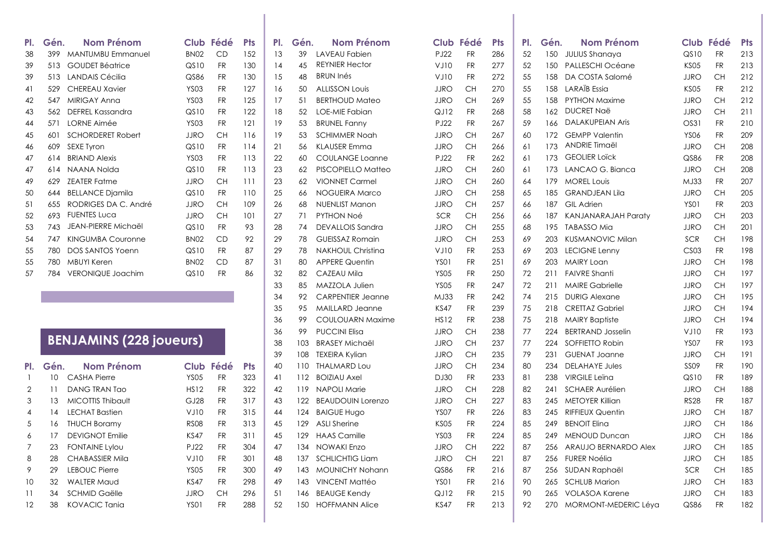| PI.            | Gén.            | <b>Nom Prénom</b>              | Club Fédé        |           | <b>Pts</b> | PI. | Gén. | <b>Nom Prénom</b>        | Club Fédé   |           | <b>Pts</b> | PI. | Gén. | <b>Nom Prénom</b>          |                  | Club Fédé | <b>Pts</b> |
|----------------|-----------------|--------------------------------|------------------|-----------|------------|-----|------|--------------------------|-------------|-----------|------------|-----|------|----------------------------|------------------|-----------|------------|
| 38             | 399             | <b>MANTUMBU Emmanuel</b>       | <b>BN02</b>      | CD        | 152        | 13  | 39   | LAVEAU Fabien            | <b>PJ22</b> | <b>FR</b> | 286        | 52  | 150  | JULIUS Shanaya             | QS10             | <b>FR</b> | 213        |
| 39             | 513             | <b>GOUDET Béatrice</b>         | QSDO             | <b>FR</b> | 130        | 14  | 45   | <b>REYNIER Hector</b>    | VJ10        | <b>FR</b> | 277        | 52  | 150  | PALLESCHI Océane           | <b>KS05</b>      | <b>FR</b> | 213        |
| 39             | 513             | LANDAIS Cécilia                | QS86             | <b>FR</b> | 130        | 15  | 48   | <b>BRUN Inés</b>         | VJ10        | <b>FR</b> | 272        | 55  | 158  | DA COSTA Salomé            | <b>JJRO</b>      | <b>CH</b> | 212        |
| 41             | 529             | <b>CHEREAU Xavier</b>          | <b>YS03</b>      | <b>FR</b> | 127        | 16  | 50   | <b>ALLISSON Louis</b>    | <b>JJRO</b> | <b>CH</b> | 270        | 55  | 158  | <b>LARAÏB</b> Essia        | <b>KS05</b>      | <b>FR</b> | 212        |
| 42             | 547             | <b>MIRIGAY Anna</b>            | <b>YS03</b>      | <b>FR</b> | 125        | 17  | 51   | <b>BERTHOUD Mateo</b>    | <b>JJRO</b> | <b>CH</b> | 269        | 55  | 158  | <b>PYTHON Maxime</b>       | <b>JJRO</b>      | <b>CH</b> | 212        |
| 43             | 562             | <b>DEFREL Kassandra</b>        | QSDO             | <b>FR</b> | 122        | 18  | 52   | LOE-MIE Fabian           | QJ12        | <b>FR</b> | 268        | 58  | 162  | <b>DUCRET Naë</b>          | <b>JJRO</b>      | <b>CH</b> | 211        |
| 44             | 571             | LORNE Aimée                    | <b>YS03</b>      | <b>FR</b> | 121        | 19  | 53   | <b>BRUNEL Fanny</b>      | <b>PJ22</b> | <b>FR</b> | 267        | 59  | 166  | <b>DALAKUPEIAN Aris</b>    | OS31             | <b>FR</b> | 210        |
| 45             | 601             | <b>SCHORDERET Robert</b>       | JJRO             | <b>CH</b> | 116        | 19  | 53   | <b>SCHIMMER Noah</b>     | <b>JJRO</b> | <b>CH</b> | 267        | 60  | 172  | <b>GEMPP Valentin</b>      | <b>YS06</b>      | <b>FR</b> | 209        |
| 46             | 609             | <b>SEXE Tyron</b>              | QS10             | <b>FR</b> | 114        | 21  | 56   | <b>KLAUSER Emma</b>      | <b>JJRO</b> | <b>CH</b> | 266        | 61  | 173  | ANDRIE Timaël              | <b>JJRO</b>      | <b>CH</b> | 208        |
| 47             | 614             | <b>BRIAND Alexis</b>           | <b>YS03</b>      | <b>FR</b> | 113        | 22  | 60   | <b>COULANGE Loanne</b>   | <b>PJ22</b> | <b>FR</b> | 262        | 61  | 173  | <b>GEOLIER Loïck</b>       | QS86             | <b>FR</b> | 208        |
| 47             | 614             | NAANA Nolda                    | QSDO             | <b>FR</b> | 113        | 23  | 62   | PISCOPIELLO Matteo       | <b>JJRO</b> | <b>CH</b> | 260        | 61  | 173  | LANCAO G. Bianca           | <b>JJRO</b>      | <b>CH</b> | 208        |
| 49             | 629             | <b>ZEATER Fatme</b>            | <b>JJRO</b>      | <b>CH</b> | 111        | 23  | 62   | <b>VIONNET Carmel</b>    | <b>JJRO</b> | <b>CH</b> | 260        | 64  | 179  | <b>MOREL Louis</b>         | MJ33             | <b>FR</b> | 207        |
| 50             | 644             | <b>BELLANCE Djamila</b>        | QSDO             | <b>FR</b> | 110        | 25  | 66   | NOGUEIRA Marco           | <b>JJRO</b> | CH        | 258        | 65  | 185  | <b>GRANDJEAN Lila</b>      | <b>JJRO</b>      | <b>CH</b> | 205        |
| 51             | 655             | RODRIGES DA C. André           | JJRO             | <b>CH</b> | 109        | 26  | 68   | <b>NUENLIST Manon</b>    | <b>JJRO</b> | <b>CH</b> | 257        | 66  | 187  | <b>GIL Adrien</b>          | YSO1             | <b>FR</b> | 203        |
| 52             | 693             | <b>FUENTES Luca</b>            | <b>JJRO</b>      | <b>CH</b> | 101        | 27  | 71   | PYTHON Noé               | SCR         | <b>CH</b> | 256        | 66  | 187  | <b>KANJANARAJAH Paraty</b> | <b>JJRO</b>      | <b>CH</b> | 203        |
| 53             | 743             | <b>JEAN-PIERRE Michaël</b>     | QSDO             | <b>FR</b> | 93         | 28  | 74   | DEVALLOIS Sandra         | <b>JJRO</b> | <b>CH</b> | 255        | 68  | 195  | <b>TABASSO Mia</b>         | JJRO             | <b>CH</b> | 201        |
| 54             | 747             | <b>KINGUMBA Couronne</b>       | <b>BN02</b>      | CD        | 92         | 29  | 78   | <b>GUEISSAZ Romain</b>   | <b>JJRO</b> | <b>CH</b> | 253        | 69  | 203  | <b>KUSMANOVIC Milan</b>    | SCR              | <b>CH</b> | 198        |
| 55             | 780             | <b>DOS SANTOS Yoenn</b>        | QS10             | <b>FR</b> | 87         | 29  | 78   | NAKHOUL Christina        | VJ10        | <b>FR</b> | 253        | 69  | 203  | <b>LECIGNE Lenny</b>       | CS <sub>03</sub> | <b>FR</b> | 198        |
| 55             | 780             | <b>MBUYI Keren</b>             | <b>BN02</b>      | <b>CD</b> | 87         | 31  | 80   | <b>APPERE Quentin</b>    | YSO1        | <b>FR</b> | 251        | 69  | 203  | MAIRY Loan                 | <b>JJRO</b>      | <b>CH</b> | 198        |
| 57             | 784             | <b>VERONIQUE Joachim</b>       | QS10             | <b>FR</b> | 86         | 32  | 82   | <b>CAZEAU Mila</b>       | <b>YS05</b> | <b>FR</b> | 250        | 72  | 211  | <b>FAIVRE Shanti</b>       | <b>JJRO</b>      | <b>CH</b> | 197        |
|                |                 |                                |                  |           |            | 33  | 85   | MAZZOLA Julien           | <b>YS05</b> | <b>FR</b> | 247        | 72  | 211  | <b>MAIRE Gabrielle</b>     | <b>JJRO</b>      | <b>CH</b> | 197        |
|                |                 |                                |                  |           |            | 34  | 92   | <b>CARPENTIER Jeanne</b> | MJ33        | <b>FR</b> | 242        | 74  | 215  | <b>DURIG Alexane</b>       | <b>JJRO</b>      | <b>CH</b> | 195        |
|                |                 |                                |                  |           |            | 35  | 95   | MAILLARD Jeanne          | <b>KS47</b> | <b>FR</b> | 239        | 75  | 218  | <b>CRETTAZ Gabriel</b>     | <b>JJRO</b>      | <b>CH</b> | 194        |
|                |                 |                                |                  |           |            | 36  | 99   | COULOUARN Maxime         | <b>HS12</b> | <b>FR</b> | 238        | 75  |      | 218 MAIRY Baptiste         | <b>JJRO</b>      | <b>CH</b> | 194        |
|                |                 |                                |                  |           |            | 36  | 99   | <b>PUCCINI Elisa</b>     | <b>JJRO</b> | <b>CH</b> | 238        | 77  | 224  | <b>BERTRAND Josselin</b>   | VJ10             | <b>FR</b> | 193        |
|                |                 | <b>BENJAMINS (228 joueurs)</b> |                  |           |            | 38  | 103  | <b>BRASEY Michaël</b>    | <b>JJRO</b> | <b>CH</b> | 237        | 77  | 224  | SOFFIETTO Robin            | <b>YS07</b>      | <b>FR</b> | 193        |
|                |                 |                                |                  |           |            | 39  | 108  | <b>TEXEIRA Kylian</b>    | <b>JJRO</b> | <b>CH</b> | 235        | 79  | 231  | <b>GUENAT Joanne</b>       | <b>JJRO</b>      | <b>CH</b> | 191        |
| PI.            | Gén.            | <b>Nom Prénom</b>              | Club Fédé        |           | <b>Pts</b> | 40  | 110  | <b>THALMARD Lou</b>      | <b>JJRO</b> | <b>CH</b> | 234        | 80  | 234  | <b>DELAHAYE Jules</b>      | <b>SS09</b>      | <b>FR</b> | 190        |
| $\mathbf{1}$   | 10 <sup>°</sup> | <b>CASHA Pierre</b>            | <b>YS05</b>      | <b>FR</b> | 323        | 41  | 112  | <b>BOIZIAU Axel</b>      | <b>DJ30</b> | <b>FR</b> | 233        | 81  | 238  | VIRGILE Leïna              | QS10             | <b>FR</b> | 189        |
| $\overline{2}$ | 11              | <b>DANG TRAN Tao</b>           | <b>HS12</b>      | <b>FR</b> | 322        | 42  | 119  | <b>NAPOLI Marie</b>      | <b>JJRO</b> | <b>CH</b> | 228        | 82  | 241  | <b>SCHAER Aurélien</b>     | <b>JJRO</b>      | <b>CH</b> | 188        |
| 3              | 13              | <b>MICOTTIS Thibault</b>       | GJ28             | <b>FR</b> | 317        | 43  | 122  | <b>BEAUDOUIN Lorenzo</b> | <b>JJRO</b> | <b>CH</b> | 227        | 83  | 245  | METOYER Killian            | <b>RS28</b>      | <b>FR</b> | 187        |
| 4              | 14              | <b>LECHAT Bastien</b>          | VJ10             | <b>FR</b> | 315        | 44  | 124  | <b>BAIGUE Hugo</b>       | <b>YS07</b> | <b>FR</b> | 226        | 83  | 245  | <b>RIFFIEUX Quentin</b>    | <b>JJRO</b>      | <b>CH</b> | 187        |
| 5              | 16              | <b>THUCH Boramy</b>            | <b>RS08</b>      | <b>FR</b> | 313        | 45  | 129  | <b>ASLI Sherine</b>      | KS05        | <b>FR</b> | 224        | 85  | 249  | <b>BENOIT Elina</b>        | <b>JJRO</b>      | CH        | 186        |
| 6              | 17              | <b>DEVIGNOT Emilie</b>         | <b>KS47</b>      | <b>FR</b> | 311        | 45  | 129  | <b>HAAS Camille</b>      | <b>YS03</b> | <b>FR</b> | 224        | 85  | 249  | <b>MENOUD Duncan</b>       | <b>JJRO</b>      | <b>CH</b> | 186        |
| 7              | 23              | <b>FONTAINE Lylou</b>          | PJ22             | <b>FR</b> | 304        | 47  | 134  | <b>NOWAKI Enzo</b>       | <b>JJRO</b> | <b>CH</b> | 222        | 87  | 256  | ARAUJO BERNARDO Alex       | <b>JJRO</b>      | <b>CH</b> | 185        |
| 8              | 28              | <b>CHABASSIER Mila</b>         | VJ10             | <b>FR</b> | 301        | 48  | 137  | <b>SCHLICHTIG Liam</b>   | <b>JJRO</b> | <b>CH</b> | 221        | 87  | 256  | <b>FURER Noélia</b>        | <b>JJRO</b>      | <b>CH</b> | 185        |
| 9              | 29              | <b>LEBOUC Pierre</b>           | YS <sub>05</sub> | <b>FR</b> | 300        | 49  | 143  | <b>MOUNICHY Nohann</b>   | QS86        | <b>FR</b> | 216        | 87  | 256  | SUDAN Raphaël              | <b>SCR</b>       | <b>CH</b> | 185        |
| 10             | 32              | <b>WALTER Maud</b>             | <b>KS47</b>      | <b>FR</b> | 298        | 49  | 143  | <b>VINCENT Mattéo</b>    | YSO1        | <b>FR</b> | 216        | 90  | 265  | <b>SCHLUB Marion</b>       | <b>JJRO</b>      | <b>CH</b> | 183        |
| 11             | 34              | <b>SCHMID Gaëlle</b>           | JJRO             | <b>CH</b> | 296        | 51  | 146  | <b>BEAUGE Kendy</b>      | QJ12        | <b>FR</b> | 215        | 90  | 265  | <b>VOLASOA Karene</b>      | <b>JJRO</b>      | <b>CH</b> | 183        |
| 12             | 38              | <b>KOVACIC Tania</b>           | <b>YS01</b>      | <b>FR</b> | 288        | 52  | 150  | <b>HOFFMANN Alice</b>    | <b>KS47</b> | <b>FR</b> | 213        | 92  |      | 270 MORMONT-MEDERIC Léya   | QS86             | <b>FR</b> | 182        |
|                |                 |                                |                  |           |            |     |      |                          |             |           |            |     |      |                            |                  |           |            |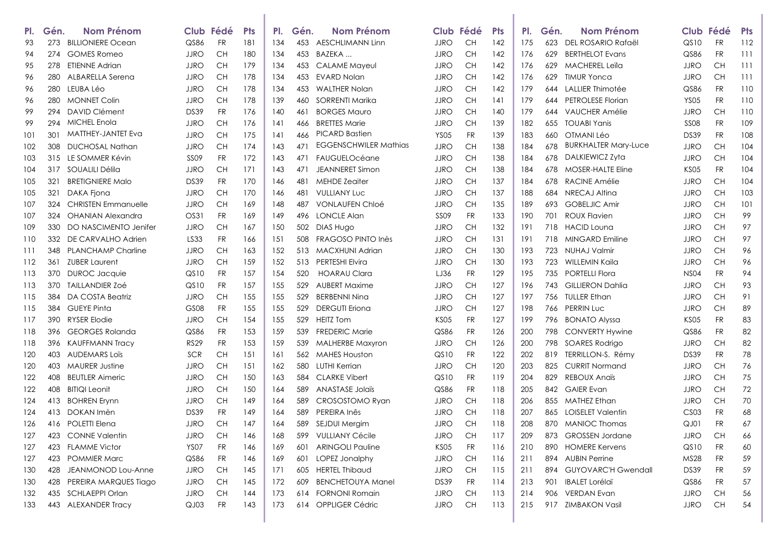| PI. | Gén. | Nom Prénom                 |                  | Club Fédé | <b>Pts</b> | PI. | Gén. | <b>Nom Prénom</b>            |             | Club Fédé | <b>Pts</b> | PI. | Gén. | Nom Prénom                  |                  | Club Fédé | <b>Pts</b> |
|-----|------|----------------------------|------------------|-----------|------------|-----|------|------------------------------|-------------|-----------|------------|-----|------|-----------------------------|------------------|-----------|------------|
| 93  | 273  | <b>BILLIONIERE Ocean</b>   | QS86             | <b>FR</b> | 181        | 134 | 453  | <b>AESCHLIMANN Linn</b>      | <b>JJRO</b> | <b>CH</b> | 142        | 175 | 623  | DEL ROSARIO Rafaël          | QS10             | <b>FR</b> | 112        |
| 94  | 274  | <b>GOMES Romeo</b>         | <b>JJRO</b>      | CH        | 180        | 134 | 453  | BAZEKA                       | <b>JJRO</b> | СH        | 142        | 176 | 629  | <b>BERTHELOT Evans</b>      | QS86             | FR        | 111        |
| 95  | 278  | <b>ETIENNE Adrian</b>      | <b>JJRO</b>      | <b>CH</b> | 179        | 134 | 453  | <b>CALAME Mayeul</b>         | <b>JJRO</b> | <b>CH</b> | 142        | 176 | 629  | <b>MACHEREL Leila</b>       | <b>JJRO</b>      | CН        | 111        |
| 96  | 280  | ALBARELLA Serena           | JJRO             | <b>CH</b> | 178        | 134 | 453  | <b>EVARD Nolan</b>           | <b>JJRO</b> | <b>CH</b> | 142        | 176 | 629  | <b>TIMUR Yonca</b>          | <b>JJRO</b>      | CН        | 111        |
| 96  | 280  | LEUBA Léo                  | <b>JJRO</b>      | CH        | 178        | 134 | 453  | <b>WALTHER Nolan</b>         | <b>JJRO</b> | <b>CH</b> | 142        | 179 |      | 644 LALLIER Thimotée        | QS86             | FR        | 110        |
| 96  | 280  | <b>MONNET Colin</b>        | <b>JJRO</b>      | <b>CH</b> | 178        | 139 | 460  | SORRENTI Marika              | <b>JJRO</b> | <b>CH</b> | 141        | 179 |      | 644 PETROLESE Florian       | <b>YS05</b>      | <b>FR</b> | 110        |
| 99  | 294  | DAVID Clément              | DS39             | FR        | 176        | 140 | 461  | <b>BORGES Mauro</b>          | <b>JJRO</b> | <b>CH</b> | 140        | 179 | 644  | VAUCHER Amélie              | JJRO             | CН        | 110        |
| 99  | 294  | MICHEL Enola               | <b>JJRO</b>      | CH        | 176        | 141 | 466  | <b>BRETTES Marie</b>         | <b>JJRO</b> | <b>CH</b> | 139        | 182 | 655  | <b>TOUABI Yanis</b>         | <b>SS08</b>      | FR        | 109        |
| 101 | 301  | <b>MATTHEY-JANTET Eva</b>  | <b>JJRO</b>      | <b>CH</b> | 175        | 141 | 466  | PICARD Bastien               | <b>YS05</b> | FR        | 139        | 183 | 660  | OTMANI Léo                  | DS39             | FR        | 108        |
| 102 | 308  | <b>DUCHOSAL Nathan</b>     | <b>JJRO</b>      | <b>CH</b> | 174        | 143 | 471  | <b>EGGENSCHWILER Mathias</b> | <b>JJRO</b> | <b>CH</b> | 138        | 184 | 678  | <b>BURKHALTER Mary-Luce</b> | <b>JJRO</b>      | <b>CH</b> | 104        |
| 103 | 315  | LE SOMMER Kévin            | SS <sub>09</sub> | <b>FR</b> | 172        | 143 | 471  | FAUGUELOcéane                | <b>JJRO</b> | CH        | 138        | 184 |      | 678 DALKIEWICZ Zyta         | <b>JJRO</b>      | CН        | 104        |
| 104 | 317  | SOUALILI Délila            | <b>JJRO</b>      | CH        | 171        | 143 | 471  | <b>JEANNERET Simon</b>       | <b>JJRO</b> | CH        | 138        | 184 | 678  | MOSER-HALTE Eline           | KS05             | <b>FR</b> | 104        |
| 105 | 321  | <b>BRETIGNIERE Malo</b>    | DS39             | <b>FR</b> | 170        | 146 | 481  | <b>MEHDE Zeaiter</b>         | <b>JJRO</b> | CH        | 137        | 184 | 678  | RACINE Amélie               | <b>JJRO</b>      | CН        | 104        |
| 105 | 321  | DAKA Fjona                 | <b>JJRO</b>      | CH        | 170        | 146 | 481  | <b>VULLIANY Luc</b>          | <b>JJRO</b> | <b>CH</b> | 137        | 188 | 684  | NRECAJ Altina               | <b>JJRO</b>      | CН        | 103        |
| 107 | 324  | <b>CHRISTEN Emmanuelle</b> | JJRO             | CH        | 169        | 148 | 487  | <b>VONLAUFEN Chloé</b>       | JJRO        | <b>CH</b> | 135        | 189 |      | 693 GOBELJIC Amir           | JJRO             | CН        | 101        |
| 107 | 324  | <b>OHANIAN Alexandra</b>   | OS31             | <b>FR</b> | 169        | 149 | 496  | <b>LONCLE Alan</b>           | <b>SS09</b> | FR        | 133        | 190 | 701  | <b>ROUX Flavien</b>         | <b>JJRO</b>      | CН        | 99         |
| 109 | 330  | DO NASCIMENTO Jenifer      | JJRO             | CH        | 167        | 150 | 502  | DIAS Hugo                    | <b>JJRO</b> | <b>CH</b> | 132        | 191 | 718  | <b>HACID Loung</b>          | <b>JJRO</b>      | CН        | 97         |
| 110 | 332  | DE CARVALHO Adrien         | LS33             | <b>FR</b> | 166        | 151 | 508  | FRAGOSO PINTO Inès           | <b>JJRO</b> | <b>CH</b> | 131        | 191 | 718  | MINGARD Emiline             | <b>JJRO</b>      | CН        | 97         |
| 111 | 348. | <b>PLANCHAMP Charline</b>  | <b>JJRO</b>      | CH        | 163        | 152 |      | 513 MACXHUNI Adrian          | <b>JJRO</b> | <b>CH</b> | 130        | 193 | 723  | <b>NUHAJ Valmir</b>         | <b>JJRO</b>      | CН        | 96         |
| 112 | 361  | <b>ZUBER Laurent</b>       | <b>JJRO</b>      | CH        | 159        | 152 | 513  | <b>PERTESHI Elvira</b>       | <b>JJRO</b> | CH        | 130        | 193 | 723  | WILLEMIN Kaila              | <b>JJRO</b>      | CН        | 96         |
| 113 | 370  | <b>DUROC Jacquie</b>       | QSDO             | FR        | 157        | 154 | 520  | <b>HOARAU Clara</b>          | LJ36        | FR        | 129        | 195 | 735  | PORTELLI Flora              | <b>NS04</b>      | <b>FR</b> | 94         |
| 113 | 370. | <b>TAILLANDIER ZOÉ</b>     | QS10             | FR        | 157        | 155 | 529  | AUBERT Maxime                | <b>JJRO</b> | CН        | 127        | 196 |      | 743 GILLIERON Dahlia        | JJRO             | CН        | 93         |
| 115 | 384  | DA COSTA Beatriz           | <b>JJRO</b>      | CH        | 155        | 155 | 529  | <b>BERBENNI Ning</b>         | <b>JJRO</b> | <b>CH</b> | 127        | 197 |      | 756 TULLER Ethan            | <b>JJRO</b>      | CН        | 91         |
| 115 | 384  | GUEYE Pinta                | GS08             | FR        | 155        | 155 | 529  | <b>DERGUTI Eriona</b>        | <b>JJRO</b> | <b>CH</b> | 127        | 198 |      | 766 PERRIN Luc              | JJRO             | <b>CH</b> | 89         |
| 117 | 390  | <b>RYSER Elodie</b>        | JJRO             | CH        | 154        | 155 | 529  | <b>HEITZ Tom</b>             | <b>KS05</b> | FR        | 127        | 199 | 796  | <b>BONATO Alyssa</b>        | KSO5             | <b>FR</b> | 83         |
| 118 | 396  | <b>GEORGES Rolanda</b>     | QS86             | FR        | 153        | 159 | 539  | <b>FREDERIC Marie</b>        | QS86        | FR        | 126        | 200 | 798  | <b>CONVERTY Hywine</b>      | QS86             | FR        | 82         |
| 118 | 396  | <b>KAUFFMANN Tracy</b>     | <b>RS29</b>      | FR        | 153        | 159 | 539  | MALHERBE Maxyron             | <b>JJRO</b> | <b>CH</b> | 126        | 200 | 798  | SOARES Rodrigo              | <b>JJRO</b>      | <b>CH</b> | 82         |
| 120 | 403  | <b>AUDEMARS LOIS</b>       | <b>SCR</b>       | CH        | 151        | 161 | 562  | MAHES Houston                | QS10        | FR        | 122        | 202 | 819  | TERRILLON-S. Rémy           | DS39             | <b>FR</b> | 78         |
| 120 | 403  | <b>MAURER Justine</b>      | <b>JJRO</b>      | <b>CH</b> | 151        | 162 | 580  | LUTHI Kerrian                | <b>JJRO</b> | <b>CH</b> | 120        | 203 | 825  | <b>CURRIT Normand</b>       | <b>JJRO</b>      | CН        | 76         |
| 122 | 408  | <b>BEUTLER Aimeric</b>     | <b>JJRO</b>      | <b>CH</b> | 150        | 163 | 584  | <b>CLARKE Vibert</b>         | QS10        | <b>FR</b> | 119        | 204 | 829  | <b>REBOUX Anaïs</b>         | <b>JJRO</b>      | <b>CH</b> | 75         |
| 122 | 408  | <b>BITIQI Leonit</b>       | JJRO             | CH        | 150        | 164 | 589  | ANASTASE Jolaïs              | QS86        | FR        | 118        | 205 | 842  | <b>GAIER Evan</b>           | JJRO             | CН        | 72         |
| 124 | 413  | <b>BOHREN Erynn</b>        | JJRO             | <b>CH</b> | 149        | 164 | 589  | CROSOSTOMO Ryan              | <b>JJRO</b> | <b>CH</b> | 118        | 206 | 855  | <b>MATHEZ Ethan</b>         | <b>JJRO</b>      | CН        | 70         |
| 124 | 413  | DOKAN Imèn                 | DS39             | FR        | 149        | 164 | 589  | PEREIRA Inês                 | JJRO        | <b>CH</b> | 118        | 207 |      | 865 LOISELET Valentin       | CS <sub>03</sub> | <b>FR</b> | 68         |
| 126 |      | 416 POLETTI Elena          | <b>JJRO</b>      | <b>CH</b> | 147        | 164 |      | 589 SEJDUI Mergim            | <b>JJRO</b> | CH        | 118        | 208 |      | 870 MANIOC Thomas           | QJ01             | <b>FR</b> | 67         |
| 127 |      | 423 CONNE Valentin         | JJRO             | CH.       | 146        | 168 |      | 599 VULLIANY Cécile          | <b>JJRO</b> | CH.       | 117        | 209 |      | 873 GROSSEN Jordane         | JJRO             | CH.       | 66         |
| 127 | 423  | <b>FLAMME Victor</b>       | <b>YS07</b>      | FR        | 146        | 169 | 601  | <b>ARINGOLI Pauline</b>      | <b>KS05</b> | <b>FR</b> | 116        | 210 |      | 890 HOMERE Kervens          | QS10             | FR        | 60         |
| 127 | 423  | <b>POMMIER Marc</b>        | QS86             | <b>FR</b> | 146        | 169 | 601  | LOPEZ Jonalphy               | <b>JJRO</b> | <b>CH</b> | 116        | 211 |      | 894 AUBIN Perrine           | MS28             | FR        | 59         |
| 130 | 428  | JEANMONOD Lou-Anne         | <b>JJRO</b>      | CH        | 145        | 171 | 605  | <b>HERTEL Thibaud</b>        | <b>JJRO</b> | <b>CH</b> | 115        | 211 |      | 894 GUYOVARC'H Gwendall     | DS39             | FR        | 59         |
| 130 | 428  | PEREIRA MARQUES Tiago      | JJRO             | <b>CH</b> | 145        | 172 | 609  | <b>BENCHETOUYA Manel</b>     | DS39        | <b>FR</b> | 114        | 213 | 901  | <b>IBALET Lorélaï</b>       | QS86             | FR        | 57         |
| 132 | 435  | SCHLAEPPI Orlan            | <b>JJRO</b>      | <b>CH</b> | 144        | 173 | 614  | <b>FORNONI Romain</b>        | JJRO        | CH        | 113        | 214 |      | 906 VERDAN Evan             | <b>JJRO</b>      | CН        | 56         |
| 133 | 443  | <b>ALEXANDER Tracy</b>     | QJ03             | FR        | 143        | 173 |      | 614 OPPLIGER Cédric          | <b>JJRO</b> | <b>CH</b> | 113        | 215 |      | 917 ZIMBAKON Vasil          | <b>JJRO</b>      | <b>CH</b> | 54         |
|     |      |                            |                  |           |            |     |      |                              |             |           |            |     |      |                             |                  |           |            |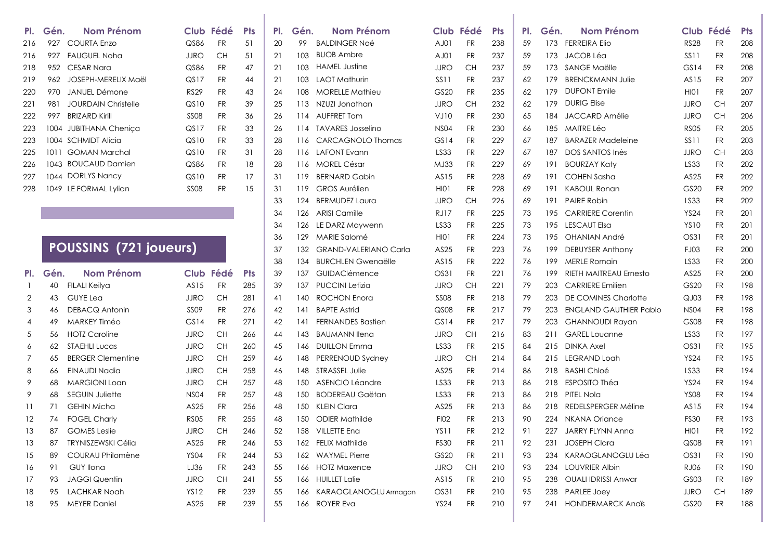| PI. | Gén. | <b>Nom Prénom</b>             |             | Club Fédé | <b>Pts</b> | PI. | Gén. | <b>Nom Prénom</b>            |             | Club Fédé | <b>Pts</b> | PI. | Gén. | <b>Nom Prénom</b>             |             | Club Fédé | <b>Pts</b> |
|-----|------|-------------------------------|-------------|-----------|------------|-----|------|------------------------------|-------------|-----------|------------|-----|------|-------------------------------|-------------|-----------|------------|
| 216 | 927  | <b>COURTA Enzo</b>            | QS86        | <b>FR</b> | 51         | 20  | 99   | <b>BALDINGER Noé</b>         | AJ01        | <b>FR</b> | 238        | 59  |      | 173 FERREIRA Elio             | <b>RS28</b> | <b>FR</b> | 208        |
| 216 | 927  | <b>FAUGUEL Noha</b>           | <b>JJRO</b> | <b>CH</b> | 51         | 21  | 103  | <b>BUOB Ambre</b>            | AJ01        | <b>FR</b> | 237        | 59  | 173  | JACOB Léa                     | <b>SS11</b> | <b>FR</b> | 208        |
| 218 |      | 952 CESAR Nara                | QS86        | <b>FR</b> | 47         | 21  | 103  | <b>HAMEL Justine</b>         | <b>JJRO</b> | <b>CH</b> | 237        | 59  |      | 173 SANGE Maëlle              | GS14        | <b>FR</b> | 208        |
| 219 | 962  | JOSEPH-MERELIX Maël           | QS17        | <b>FR</b> | 44         | 21  | 103  | <b>LAOT Mathurin</b>         | <b>SS11</b> | <b>FR</b> | 237        | 62  | 179  | <b>BRENCKMANN Julie</b>       | AS15        | <b>FR</b> | 207        |
| 220 | 970  | <b>JANUEL Démone</b>          | <b>RS29</b> | <b>FR</b> | 43         | 24  | 108  | <b>MORELLE Mathieu</b>       | GS20        | <b>FR</b> | 235        | 62  | 179  | <b>DUPONT</b> Emile           | HI01        | <b>FR</b> | 207        |
| 221 | 981  | <b>JOURDAIN Christelle</b>    | QS10        | <b>FR</b> | 39         | 25  | 113  | NZUZI Jonathan               | <b>JJRO</b> | <b>CH</b> | 232        | 62  | 179  | <b>DURIG Elise</b>            | <b>JJRO</b> | <b>CH</b> | 207        |
| 222 | 997  | <b>BRIZARD Kirill</b>         | <b>SS08</b> | <b>FR</b> | 36         | 26  | 114  | <b>AUFFRET Tom</b>           | VJ10        | <b>FR</b> | 230        | 65  |      | 184 JACCARD Amélie            | <b>JJRO</b> | <b>CH</b> | 206        |
| 223 | 1004 | JUBITHANA Chenica             | QS17        | <b>FR</b> | 33         | 26  |      | 114 TAVARES Josselino        | <b>NS04</b> | <b>FR</b> | 230        | 66  | 185  | MAITRE Léo                    | <b>RS05</b> | <b>FR</b> | 205        |
| 223 |      | 1004 SCHMIDT Alicia           | QSDO        | <b>FR</b> | 33         | 28  | 116  | <b>CARCAGNOLO Thomas</b>     | GS14        | <b>FR</b> | 229        | 67  | 187  | <b>BARAZER Madeleine</b>      | <b>SS11</b> | <b>FR</b> | 203        |
| 225 | 1011 | <b>GOMAN Marchal</b>          | QS10        | <b>FR</b> | 31         | 28  | 116  | LAFONT Evann                 | LS33        | <b>FR</b> | 229        | 67  | 187  | DOS SANTOS Inès               | <b>JJRO</b> | <b>CH</b> | 203        |
| 226 |      | 1043 BOUCAUD Damien           | QS86        | <b>FR</b> | 18         | 28  | 116  | <b>MOREL César</b>           | MJ33        | <b>FR</b> | 229        | 69  | 191  | <b>BOURZAY Katy</b>           | LS33        | <b>FR</b> | 202        |
| 227 |      | 1044 DORLYS Nancy             | QSDO        | <b>FR</b> | 17         | 31  | 119  | <b>BERNARD Gabin</b>         | AS15        | <b>FR</b> | 228        | 69  | 191  | <b>COHEN Sasha</b>            | AS25        | <b>FR</b> | 202        |
| 228 | 1049 | LE FORMAL Lylian              | <b>SS08</b> | <b>FR</b> | 15         | 31  | 119  | <b>GROS Aurélien</b>         | HI01        | <b>FR</b> | 228        | 69  | 191  | <b>KABOUL Ronan</b>           | GS20        | <b>FR</b> | 202        |
|     |      |                               |             |           |            | 33  | 124  | <b>BERMUDEZ Laura</b>        | <b>JJRO</b> | <b>CH</b> | 226        | 69  | 191  | <b>PAIRE Robin</b>            | LS33        | <b>FR</b> | 202        |
|     |      |                               |             |           |            | 34  | 126  | <b>ARISI Camille</b>         | <b>RJ17</b> | <b>FR</b> | 225        | 73  | 195  | <b>CARRIERE Corentin</b>      | <b>YS24</b> | <b>FR</b> | 201        |
|     |      |                               |             |           |            | 34  | 126  | LE DARZ Maywenn              | LS33        | <b>FR</b> | 225        | 73  | 195  | <b>LESCAUT Elsa</b>           | <b>YS10</b> | <b>FR</b> | 201        |
|     |      |                               |             |           |            | 36  | 129  | MARIE Salomé                 | HI01        | <b>FR</b> | 224        | 73  | 195  | <b>OHANIAN André</b>          | OS31        | <b>FR</b> | 201        |
|     |      | <b>POUSSINS (721 joueurs)</b> |             |           |            | 37  | 132  | <b>GRAND-VALERIANO Carla</b> | AS25        | <b>FR</b> | 223        | 76  | 199  | <b>DEBUYSER Anthony</b>       | <b>FJ03</b> | <b>FR</b> | 200        |
|     |      |                               |             |           |            | 38  | 134  | <b>BURCHLEN Gwengëlle</b>    | AS15        | <b>FR</b> | 222        | 76  | 199  | <b>MERLE Romain</b>           | LS33        | <b>FR</b> | 200        |
| PI. | Gén. | <b>Nom Prénom</b>             |             | Club Fédé | <b>Pts</b> | 39  | 137  | GUIDACIémence                | OS31        | <b>FR</b> | 221        | 76  | 199  | <b>RIETH MAITREAU Ernesto</b> | AS25        | <b>FR</b> | 200        |
|     | 40   | <b>FILALI Keilya</b>          | AS15        | <b>FR</b> | 285        | 39  | 137  | <b>PUCCINI Letizia</b>       | <b>JJRO</b> | <b>CH</b> | 221        | 79  | 203  | <b>CARRIERE</b> Emilien       | GS20        | <b>FR</b> | 198        |
| 2   | 43   | <b>GUYE</b> Lea               | <b>JJRO</b> | <b>CH</b> | 281        | 41  | 140  | ROCHON Enora                 | <b>SS08</b> | <b>FR</b> | 218        | 79  | 203  | <b>DE COMINES Charlotte</b>   | QJ03        | <b>FR</b> | 198        |
| 3   | 46   | <b>DEBACQ Antonin</b>         | <b>SS09</b> | <b>FR</b> | 276        | 42  | 141  | <b>BAPTE Astrid</b>          | QSO8        | <b>FR</b> | 217        | 79  | 203  | <b>ENGLAND GAUTHIER Pablo</b> | <b>NS04</b> | <b>FR</b> | 198        |
| 4   | 49   | <b>MARKEY Timéo</b>           | GS14        | <b>FR</b> | 271        | 42  | 4    | <b>FERNANDES Bastien</b>     | GS14        | <b>FR</b> | 217        | 79  | 203  | <b>GHANNOUDI Rayan</b>        | <b>GS08</b> | <b>FR</b> | 198        |
| 5   | 56   | <b>HOTZ Caroline</b>          | <b>JJRO</b> | <b>CH</b> | 266        | 44  | 143  | <b>BAUMANN lleng</b>         | JJRO        | <b>CH</b> | 216        | 83  | 211  | <b>GAREL Louanne</b>          | LS33        | <b>FR</b> | 197        |
| 6   | 62   | <b>STAEHLI Lucas</b>          | <b>JJRO</b> | <b>CH</b> | 260        | 45  | 146  | <b>DUILLON Emma</b>          | LS33        | <b>FR</b> | 215        | -84 |      | 215 DINKA Axel                | OS31        | <b>FR</b> | 195        |
| 7   | 65   | <b>BERGER Clementine</b>      | <b>JJRO</b> | <b>CH</b> | 259        | 46  | 148  | PERRENOUD Sydney             | <b>JJRO</b> | <b>CH</b> | 214        | 84  |      | 215 LEGRAND Loah              | <b>YS24</b> | <b>FR</b> | 195        |
| 8   | 66   | <b>EINAUDI Nadia</b>          | <b>JJRO</b> | <b>CH</b> | 258        | 46  | 148  | <b>STRASSEL Julie</b>        | AS25        | <b>FR</b> | 214        | 86  |      | 218 BASHI Chloé               | LS33        | <b>FR</b> | 194        |
| 9   | 68   | <b>MARGIONI Loan</b>          | <b>JJRO</b> | <b>CH</b> | 257        | 48  | 150  | <b>ASENCIO Léandre</b>       | LS33        | <b>FR</b> | 213        | 86  |      | 218 ESPOSITO Théa             | <b>YS24</b> | <b>FR</b> | 194        |
| 9   | 68   | <b>SEGUIN Juliette</b>        | <b>NS04</b> | <b>FR</b> | 257        | 48  | 150  | <b>BODEREAU Gaëtan</b>       | LS33        | <b>FR</b> | 213        | 86  |      | 218 PITEL Nola                | <b>YS08</b> | <b>FR</b> | 194        |
| 11  | 71   | <b>GEHIN Micha</b>            | AS25        | <b>FR</b> | 256        | 48  | 150  | <b>KLEIN Clara</b>           | AS25        | <b>FR</b> | 213        | 86  | 218  | <b>REDELSPERGER Méline</b>    | AS15        | <b>FR</b> | 194        |
| 12  | 74   | <b>FOGEL Charly</b>           | <b>RS05</b> | <b>FR</b> | 255        | 48  | 150  | <b>ODIER Mathilde</b>        | <b>FI02</b> | <b>FR</b> | 213        | 90  | 224  | <b>NKANA Oriance</b>          | <b>FS30</b> | <b>FR</b> | 193        |
| 13  | 87   | <b>GOMES</b> Leslie           | <b>JJRO</b> | <b>CH</b> | 246        | 52  | 158  | <b>VILLETTE Ena</b>          | <b>YS11</b> | <b>FR</b> | 212        | 91  | 227  | <b>JARRY FLYNN Anna</b>       | HI01        | <b>FR</b> | 192        |
| 13  | 87   | <b>TRYNISZEWSKI Célia</b>     | AS25        | <b>FR</b> | 246        | 53  | 162  | <b>FELIX Mathilde</b>        | <b>FS30</b> | <b>FR</b> | 211        | 92  | 231  | <b>JOSEPH Clara</b>           | QSO8        | <b>FR</b> | 191        |
| 15  | 89   | COURAU Philomène              | <b>YS04</b> | <b>FR</b> | 244        | 53  | 162  | <b>WAYMEL Pierre</b>         | GS20        | <b>FR</b> | 211        | 93  | 234  | KARAOGLANOGLU Léa             | OS31        | <b>FR</b> | 190        |
| 16  | 91   | GUY Ilona                     | LJ36        | <b>FR</b> | 243        | 55  |      | 166 HOTZ Maxence             | JJRO        | <b>CH</b> | 210        | 93  |      | 234 LOUVRIER Albin            | RJ06        | <b>FR</b> | 190        |
|     |      |                               |             |           |            |     |      |                              |             |           |            |     |      |                               |             |           |            |

П

Т

17 93 JAGGI-Quentin JJRO CH 241 55 166 HUILLET-Lalie AS15 FR 210 95 238 OUALI IDRISSI Anwar GS03 FR 189 <sup>95</sup> LACHKAR Noah YS12 FR <sup>239</sup> <sup>55</sup> <sup>166</sup> KARAOGLANOGLU Armagan OS31 FR <sup>210</sup> <sup>95</sup> <sup>238</sup> PARLEE Joey JJRO CH <sup>189</sup> <sup>95</sup> MEYER Daniel AS25 FR <sup>239</sup> <sup>55</sup> <sup>166</sup> ROYER Eva YS24 FR <sup>210</sup> <sup>97</sup> <sup>241</sup> HONDERMARCK Anaïs GS20 FR <sup>188</sup>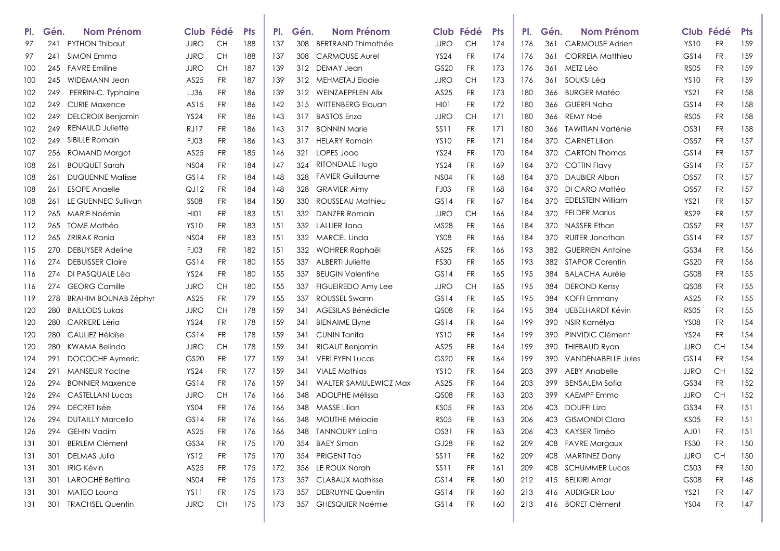| PI. | Gén. | <b>Nom Prénom</b>           |             | Club Fédé | <b>Pts</b> | PI. | Gén. | <b>Nom Prénom</b>            |             | Club Fédé | <b>Pts</b> | PI. | Gén. | <b>Nom Prénom</b>         |                  | Club Fédé | <b>Pts</b> |
|-----|------|-----------------------------|-------------|-----------|------------|-----|------|------------------------------|-------------|-----------|------------|-----|------|---------------------------|------------------|-----------|------------|
| 97  | 241  | PYTHON Thibaut              | <b>JJRO</b> | CH        | 188        | 137 | 308  | <b>BERTRAND Thimothée</b>    | <b>JJRO</b> | <b>CH</b> | 174        | 176 | 361  | <b>CARMOUSE Adrien</b>    | <b>YS10</b>      | <b>FR</b> | 159        |
| 97  | 241  | SIMON Emma                  | <b>JJRO</b> | <b>CH</b> | 188        | 137 | 308  | <b>CARMOUSE Aurel</b>        | <b>YS24</b> | <b>FR</b> | 174        | 176 | 361  | <b>CORREIA Matthieu</b>   | GS14             | <b>FR</b> | 159        |
| 100 | 245  | <b>FAVRE Emiline</b>        | <b>JJRO</b> | <b>CH</b> | 187        | 139 |      | 312 DEMAY Jean               | GS20        | FR        | 173        | 176 | 361  | METZ Léo                  | <b>RS05</b>      | <b>FR</b> | 159        |
| 100 | 245  | <b>WIDEMANN Jean</b>        | AS25        | <b>FR</b> | 187        | 139 |      | 312 MEHMETAJ Elodie          | <b>JJRO</b> | CН        | 173        | 176 | 361  | SOUKSI Léa                | <b>YS10</b>      | <b>FR</b> | 159        |
| 102 | 249  | PERRIN-C. Typhaine          | LJ36        | <b>FR</b> | 186        | 139 |      | 312 WEINZAEPFLEN Alix        | AS25        | FR        | 173        | 180 | 366  | <b>BURGER Matéo</b>       | <b>YS21</b>      | <b>FR</b> | 158        |
| 102 | 249  | <b>CURIE Maxence</b>        | AS15        | FR        | 186        | 142 | 315  | <b>WITTENBERG Elouan</b>     | HIO1        | FR        | 172        | 180 | 366  | <b>GUERFI Noha</b>        | GS14             | <b>FR</b> | 158        |
| 102 | 249  | <b>DELCROIX Benjamin</b>    | <b>YS24</b> | FR        | 186        | 143 | 317  | <b>BASTOS Enzo</b>           | JJRO        | CH        | 171        | 180 | 366  | REMY Noé                  | <b>RS05</b>      | <b>FR</b> | 158        |
| 102 | 249  | <b>RENAULD Juliette</b>     | <b>RJ17</b> | <b>FR</b> | 186        | 143 | 317  | <b>BONNIN Marie</b>          | <b>SS11</b> | <b>FR</b> | 171        | 180 | 366  | <b>TAWITIAN Varténie</b>  | OS31             | <b>FR</b> | 158        |
| 102 | 249  | SIBILLE Romain              | FJ03        | FR        | 186        | 143 |      | 317 HELARY Romain            | <b>YS10</b> | FR        | 171        | 184 | 370  | <b>CARNET Lilian</b>      | <b>OS57</b>      | <b>FR</b> | 157        |
| 107 | 256  | ROMAND Margot               | AS25        | <b>FR</b> | 185        | 146 | 321  | LOPES Joao                   | <b>YS24</b> | FR        | 170        | 184 | 370  | <b>CARTON Thomas</b>      | GS14             | <b>FR</b> | 157        |
| 108 | 261  | <b>BOUQUET Sarah</b>        | <b>NS04</b> | FR        | 184        | 147 | 324  | <b>RITONDALE Hugo</b>        | <b>YS24</b> | FR        | 169        | 184 | 370  | <b>COTTIN Flavy</b>       | GS14             | <b>FR</b> | 157        |
| 108 | 261  | <b>DUQUENNE Matisse</b>     | GS14        | FR        | 184        | 148 | 328  | <b>FAVIER Guillaume</b>      | <b>NS04</b> | FR        | 168        | 184 | 370  | <b>DAUBIER Alban</b>      | <b>OS57</b>      | <b>FR</b> | 157        |
| 108 | 261  | <b>ESOPE Angelle</b>        | QJ12        | <b>FR</b> | 184        | 148 | 328  | <b>GRAVIER Aimy</b>          | FJ03        | <b>FR</b> | 168        | 184 | 370  | DI CARO Mattéo            | <b>OS57</b>      | <b>FR</b> | 157        |
| 108 | 261  | LE GUENNEC Sullivan         | <b>SS08</b> | FR        | 184        | 150 | 330  | ROUSSEAU Mathieu             | GS14        | FR        | 167        | 184 | 370  | <b>EDELSTEIN William</b>  | <b>YS21</b>      | <b>FR</b> | 157        |
| 112 | 265  | MARIE Noémie                | HI01        | <b>FR</b> | 183        | 151 |      | 332 DANZER Romain            | <b>JJRO</b> | CH        | 166        | 184 | 370  | <b>FELDER Marius</b>      | <b>RS29</b>      | <b>FR</b> | 157        |
| 112 | 265  | TOME Mathéo                 | <b>YS10</b> | <b>FR</b> | 183        | 151 |      | 332 LALLIER Ilana            | <b>MS28</b> | <b>FR</b> | 166        | 184 | 370  | NASSER Ethan              | <b>OS57</b>      | <b>FR</b> | 157        |
| 112 | 265  | ZRIRAK Rania                | <b>NS04</b> | <b>FR</b> | 183        | 151 |      | 332 MARCEL Linda             | <b>YS08</b> | <b>FR</b> | 166        | 184 | 370  | <b>RUITER Jonathan</b>    | GS14             | <b>FR</b> | 157        |
| 115 | 270  | <b>DEBUYSER Adeline</b>     | FJ03        | FR        | 182        | 151 | 332  | WOHRER Raphaël               | AS25        | FR        | 166        | 193 | 382  | <b>GUERRIEN Antoine</b>   | GS34             | <b>FR</b> | 156        |
| 116 | 274  | <b>DEBUISSER Claire</b>     | GS14        | <b>FR</b> | 180        | 155 | 337  | <b>ALBERTI Juliette</b>      | <b>FS30</b> | <b>FR</b> | 165        | 193 | 382  | <b>STAPOR Corentin</b>    | GS20             | <b>FR</b> | 156        |
| 116 | 274  | DI PASQUALE Léa             | <b>YS24</b> | FR        | 180        | 155 | 337  | <b>BEUGIN Valentine</b>      | GS14        | <b>FR</b> | 165        | 195 | 384  | <b>BALACHA Aurèle</b>     | <b>GS08</b>      | <b>FR</b> | 155        |
| 116 | 274  | <b>GEORG Camille</b>        | <b>JJRO</b> | CH        | 180        | 155 | 337  | <b>FIGUEIREDO Amy Lee</b>    | <b>JJRO</b> | CH        | 165        | 195 | 384  | <b>DEROND Kensy</b>       | QS <sub>08</sub> | <b>FR</b> | 155        |
| 119 | 278  | <b>BRAHIM BOUNAB Zéphyr</b> | AS25        | <b>FR</b> | 179        | 155 | 337  | <b>ROUSSEL Swann</b>         | GS14        | FR        | 165        | 195 | 384  | <b>KOFFI Emmany</b>       | AS25             | <b>FR</b> | 155        |
| 120 | 280  | <b>BAILLODS Lukas</b>       | <b>JJRO</b> | <b>CH</b> | 178        | 159 | 341  | AGESILAS Bénédicte           | QS08        | <b>FR</b> | 164        | 195 | 384  | UEBELHARDT Kévin          | <b>RS05</b>      | <b>FR</b> | 155        |
| 120 | 280  | <b>CARRERE Léria</b>        | <b>YS24</b> | FR        | 178        | 159 | 341  | <b>BIENAIME Elyne</b>        | GS14        | <b>FR</b> | 164        | 199 | 390  | NSIR Kamélya              | <b>YS08</b>      | <b>FR</b> | 154        |
| 120 | 280  | CAULIEZ Héloïse             | GS14        | <b>FR</b> | 178        | 159 | 341  | CUNIN Tanita                 | <b>YS10</b> | FR        | 164        | 199 | 390  | PINVIDIC Clément          | <b>YS24</b>      | <b>FR</b> | 154        |
| 120 | 280  | KWAMA Belinda               | <b>JJRO</b> | CH        | 178        | 159 | 341  | RIGAUT Benjamin              | AS25        | FR        | 164        | 199 | 390  | <b>THIEBAUD Ryan</b>      | <b>JJRO</b>      | <b>CH</b> | 154        |
| 124 | 291  | <b>DOCOCHE Aymeric</b>      | GS20        | <b>FR</b> | 177        | 159 | 341  | <b>VERLEYEN Lucas</b>        | GS20        | <b>FR</b> | 164        | 199 | 390  | <b>VANDENABELLE Jules</b> | GS14             | <b>FR</b> | 154        |
| 124 | 291  | <b>MANSEUR Yacine</b>       | <b>YS24</b> | <b>FR</b> | 177        | 159 | 341  | <b>VIALE Mathias</b>         | <b>YS10</b> | <b>FR</b> | 164        | 203 | 399  | <b>AEBY Anabelle</b>      | <b>JJRO</b>      | <b>CH</b> | 152        |
| 126 | 294  | <b>BONNIER Maxence</b>      | GS14        | <b>FR</b> | 176        | 159 | 341  | <b>WALTER SAMULEWICZ Max</b> | AS25        | FR        | 164        | 203 | 399  | <b>BENSALEM Sofia</b>     | GS34             | <b>FR</b> | 152        |
| 126 | 294  | <b>CASTELLANI Lucas</b>     | <b>JJRO</b> | <b>CH</b> | 176        | 166 | 348  | ADOLPHE Mélissa              | QS08        | <b>FR</b> | 163        | 203 | 399  | <b>KAEMPF</b> Emma        | <b>JJRO</b>      | <b>CH</b> | 152        |
| 126 | 294  | <b>DECRET Isée</b>          | <b>YS04</b> | FR        | 176        | 166 |      | 348 MASSE Lilian             | <b>KS05</b> | <b>FR</b> | 163        | 206 | 403  | <b>DOUFFI Liza</b>        | GS34             | <b>FR</b> | 151        |
| 126 | 294  | <b>DUTAILLY Marcello</b>    | GS14        | FR        | 176        | 166 | 348  | MOUTHE Mélodie               | <b>RS05</b> | FR        | 163        | 206 | 403. | <b>GISMONDI Clara</b>     | KS <sub>05</sub> | <b>FR</b> | 151        |
| 126 | 294  | <b>GEHIN Vadim</b>          | AS25        | FR        | 176        | 166 |      | 348 TANNOURY Lalita          | OS31        | <b>FR</b> | 163        | 206 |      | 403 KAYSER Timéo          | AJ01             | <b>FR</b> | 151        |
| 131 | 301  | <b>BERLEM Clément</b>       | GS34        | <b>FR</b> | 175        | 170 | 354  | <b>BAEY Simon</b>            | GJ28        | <b>FR</b> | 162        | 209 |      | 408 FAVRE Margaux         | FS30             | FR        | 150        |
| 131 | 301  | <b>DELMAS Julia</b>         | YS12        | <b>FR</b> | 175        | 170 |      | 354 PRIGENT Tao              | SS11        | <b>FR</b> | 162        | 209 |      | 408 MARTINEZ Dany         | <b>JJRO</b>      | <b>CH</b> | 150        |
| 131 | 301  | <b>IRIG Kévin</b>           | AS25        | <b>FR</b> | 175        | 172 |      | 356 LE ROUX Norah            | <b>SS11</b> | <b>FR</b> | 161        | 209 |      | 408 SCHUMMER Lucas        | CS <sub>03</sub> | <b>FR</b> | 150        |
| 131 | 301  | LAROCHE Bettina             | <b>NS04</b> | <b>FR</b> | 175        | 173 |      | 357 CLABAUX Mathisse         | GS14        | <b>FR</b> | 160        | 212 |      | 415 BELKIRI Amar          | GS08             | FR        | 148        |
| 131 | 301  | <b>MATEO Louna</b>          | YS11        | <b>FR</b> | 175        | 173 | 357  | <b>DEBRUYNE Quentin</b>      | GS14        | <b>FR</b> | 160        | 213 |      | 416 AUDIGIER Lou          | <b>YS21</b>      | <b>FR</b> | 147        |
| 131 | 301  | <b>TRACHSEL Quentin</b>     | <b>JJRO</b> | <b>CH</b> | 175        | 173 |      | 357 GHESQUIER Noémie         | GS14        | <b>FR</b> | 160        | 213 |      | 416 BORET Clément         | <b>YS04</b>      | <b>FR</b> | 147        |
|     |      |                             |             |           |            |     |      |                              |             |           |            |     |      |                           |                  |           |            |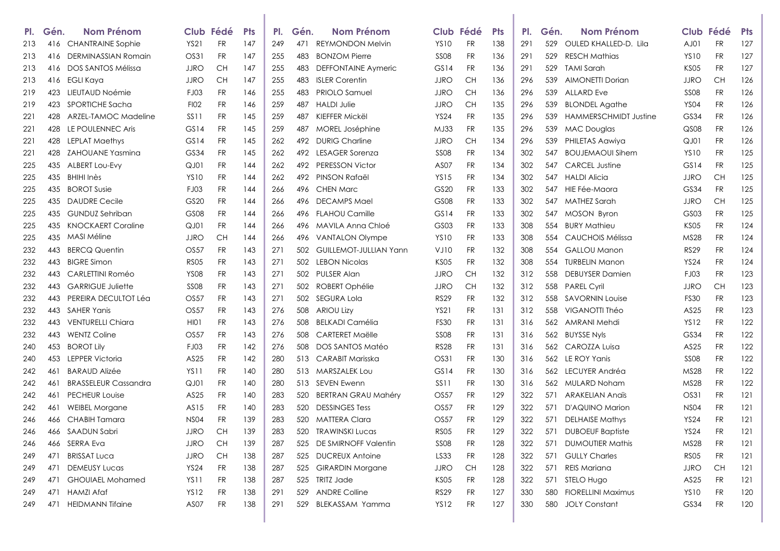| PI. | Gén. | <b>Nom Prénom</b>           |                  | Club Fédé | <b>Pts</b> | PI. | Gén. | <b>Nom Prénom</b>             |                  | Club Fédé | <b>Pts</b> | PI.             | Gén. | <b>Nom Prénom</b>            |                  | Club Fédé | <b>Pts</b> |
|-----|------|-----------------------------|------------------|-----------|------------|-----|------|-------------------------------|------------------|-----------|------------|-----------------|------|------------------------------|------------------|-----------|------------|
| 213 | 416  | <b>CHANTRAINE Sophie</b>    | YS21             | <b>FR</b> | 147        | 249 | 471  | <b>REYMONDON Melvin</b>       | <b>YS10</b>      | <b>FR</b> | 138        | 29 <sup>°</sup> | 529  | OULED KHALLED-D. Lila        | AJ01             | <b>FR</b> | 127        |
| 213 | 416  | DERMINASSIAN Romain         | OS31             | FR        | 147        | 255 | 483  | <b>BONZOM Pierre</b>          | <b>SS08</b>      | FR        | 136        | 29 <sup>°</sup> | 529  | <b>RESCH Mathias</b>         | <b>YS10</b>      | <b>FR</b> | 127        |
| 213 | 416  | DOS SANTOS Mélissa          | <b>JJRO</b>      | CH        | 147        | 255 | 483  | <b>DEFFONTAINE Aymeric</b>    | GS14             | FR        | 136        | 291             | 529  | <b>TAMI Sarah</b>            | KS <sub>05</sub> | <b>FR</b> | 127        |
| 213 | 416  | EGLI Kaya                   | <b>JJRO</b>      | CH        | 147        | 255 | 483  | <b>ISLER Corentin</b>         | <b>JJRO</b>      | CН        | 136        | 296             | 539  | <b>AIMONETTI Dorian</b>      | <b>JJRO</b>      | <b>CH</b> | 126        |
| 219 | 423  | LIEUTAUD Noémie             | FJ03             | <b>FR</b> | 146        | 255 | 483  | <b>PRIOLO Samuel</b>          | <b>JJRO</b>      | <b>CH</b> | 136        | 296             | 539  | <b>ALLARD</b> Eve            | <b>SS08</b>      | <b>FR</b> | 126        |
| 219 | 423  | SPORTICHE Sacha             | <b>FI02</b>      | FR        | 146        | 259 | 487  | <b>HALDI Julie</b>            | <b>JJRO</b>      | CH        | 135        | 296             | 539  | <b>BLONDEL Agathe</b>        | <b>YS04</b>      | <b>FR</b> | 126        |
| 221 | 428  | ARZEL-TAMOC Madeline        | SS11             | <b>FR</b> | 145        | 259 | 487  | KIEFFER Mickël                | <b>YS24</b>      | FR        | 135        | 296             | 539  | <b>HAMMERSCHMIDT Justine</b> | GS34             | <b>FR</b> | 126        |
| 221 | 428  | LE POULENNEC Aris           | GS14             | FR        | 145        | 259 | 487  | MOREL Joséphine               | MJ33             | <b>FR</b> | 135        | 296             | 539  | <b>MAC Douglas</b>           | QS <sub>08</sub> | <b>FR</b> | 126        |
| 221 | 428  | <b>LEPLAT Maethys</b>       | GS14             | <b>FR</b> | 145        | 262 | 492  | <b>DURIG Charline</b>         | <b>JJRO</b>      | CН        | 134        | 296             | 539  | PHILETAS Aawiya              | QJ01             | <b>FR</b> | 126        |
| 221 | 428  | <b>ZAHOUANE Yasmina</b>     | GS34             | FR        | 145        | 262 | 492  | <b>LESAGER Sorenza</b>        | <b>SS08</b>      | FR        | 134        | 302             | 547  | <b>BOUJEMAOUI Sihem</b>      | <b>YS10</b>      | <b>FR</b> | 125        |
| 225 | 435  | ALBERT LOU-Evy              | $Q$ J $O$ 1      | FR        | 144        | 262 | 492  | <b>PERESSON Victor</b>        | AS <sub>07</sub> | FR        | 134        | 302             | 547  | <b>CARCEL Justine</b>        | GS14             | <b>FR</b> | 125        |
| 225 | 435  | BHIHI Inès                  | <b>YS10</b>      | FR        | 144        | 262 | 492  | PINSON Rafaël                 | <b>YS15</b>      | FR        | 134        | 302             | 547  | <b>HALDI Alicia</b>          | <b>JJRO</b>      | <b>CH</b> | 125        |
| 225 | 435  | <b>BOROT Susie</b>          | FJ03             | FR        | 144        | 266 |      | 496 CHEN Marc                 | GS20             | FR        | 133        | 302             | 547  | HIE Fée-Maora                | GS34             | <b>FR</b> | 125        |
| 225 | 435  | <b>DAUDRE Cecile</b>        | GS20             | FR        | 144        | 266 | 496  | <b>DECAMPS Mael</b>           | <b>GS08</b>      | FR        | 133        | 302             | 547  | <b>MATHEZ Sarah</b>          | <b>JJRO</b>      | <b>CH</b> | 125        |
| 225 | 435  | <b>GUNDUZ Sehriban</b>      | GS <sub>08</sub> | FR        | 144        | 266 | 496  | <b>FLAHOU Camille</b>         | GS14             | FR        | 133        | 302             | 547  | <b>MOSON Byron</b>           | GS03             | <b>FR</b> | 125        |
| 225 | 435  | <b>KNOCKAERT Coraline</b>   | $Q$ J $O$ 1      | <b>FR</b> | 144        | 266 | 496  | MAVILA Anna Chloé             | GS03             | FR        | 133        | 308             | 554  | <b>BURY Mathieu</b>          | KS05             | <b>FR</b> | 124        |
| 225 | 435  | MASI Méline                 | <b>JJRO</b>      | CH        | 144        | 266 | 496  | VANTALON Olympe               | <b>YS10</b>      | FR        | 133        | 308             | 554  | <b>CAUCHOIS Mélissa</b>      | <b>MS28</b>      | <b>FR</b> | 124        |
| 232 | 443  | <b>BERCQ Quentin</b>        | OS57             | <b>FR</b> | 143        | 271 | 502  | <b>GUILLEMOT-JULLIAN Yann</b> | VJ10             | FR        | 132        | 308             | 554  | <b>GALLOU Manon</b>          | <b>RS29</b>      | <b>FR</b> | 124        |
| 232 | 443  | <b>BIGRE Simon</b>          | <b>RS05</b>      | FR        | 143        | 271 | 502  | <b>LEBON Nicolas</b>          | KS05             | FR        | 132        | 308             | 554  | <b>TURBELIN Manon</b>        | <b>YS24</b>      | <b>FR</b> | 124        |
| 232 | 443  | CARLETTINI Roméo            | <b>YS08</b>      | FR        | 143        | 271 | 502  | <b>PULSER Alan</b>            | <b>JJRO</b>      | CН        | 132        | 312             | 558  | <b>DEBUYSER Damien</b>       | FJ03             | <b>FR</b> | 123        |
| 232 | 443  | <b>GARRIGUE Juliette</b>    | <b>SS08</b>      | FR        | 143        | 271 | 502  | <b>ROBERT Ophélie</b>         | <b>JJRO</b>      | CH        | 132        | 312             | 558  | <b>PAREL Cyril</b>           | JJRO             | <b>CH</b> | 123        |
| 232 | 443  | PEREIRA DECULTOT Léa        | OS57             | FR        | 143        | 271 | 502  | SEGURA Lola                   | RS29             | FR        | 132        | 312             | 558  | <b>SAVORNIN Louise</b>       | <b>FS30</b>      | <b>FR</b> | 123        |
| 232 | 443  | <b>SAHER Yanis</b>          | OS57             | FR        | 143        | 276 | 508  | <b>ARIOU Lizy</b>             | <b>YS21</b>      | FR        | 131        | 312             | 558  | VIGANOTTI Théo               | AS25             | <b>FR</b> | 123        |
| 232 | 443  | <b>VENTURELLI Chiara</b>    | HI01             | <b>FR</b> | 143        | 276 | 508  | <b>BELKADI Camélia</b>        | <b>FS30</b>      | <b>FR</b> | 131        | 316             | 562  | AMRANI Mehdi                 | <b>YS12</b>      | <b>FR</b> | 122        |
| 232 | 443  | <b>WENTZ Coline</b>         | OS57             | FR        | 143        | 276 | 508  | <b>CARTERET Maëlle</b>        | <b>SS08</b>      | FR        | 131        | 316             | 562  | <b>BUYSSE Nyls</b>           | GS34             | <b>FR</b> | 122        |
| 240 | 453  | <b>BOROT Lily</b>           | FJ03             | FR        | 142        | 276 | 508  | DOS SANTOS Matéo              | RS28             | FR        | 131        | 316             | 562  | CAROZZA Luisa                | AS25             | <b>FR</b> | 122        |
| 240 | 453  | LEPPER Victoria             | AS25             | FR        | 142        | 280 | 513  | CARABIT Marisska              | OS31             | FR        | 130        | 316             |      | 562 LE ROY Yanis             | <b>SS08</b>      | <b>FR</b> | 122        |
| 242 | 461  | <b>BARAUD Alizée</b>        | YS <sub>11</sub> | FR        | 140        | 280 | 513  | MARSZALEK Lou                 | GS14             | FR        | 130        | 316             |      | 562 LECUYER Andréa           | <b>MS28</b>      | FR        | 122        |
| 242 | 461  | <b>BRASSELEUR Cassandra</b> | QJ01             | <b>FR</b> | 140        | 280 |      | 513 SEVEN Ewenn               | <b>SS11</b>      | <b>FR</b> | 130        | 316             | 562  | MULARD Noham                 | <b>MS28</b>      | <b>FR</b> | 122        |
| 242 | 461  | <b>PECHEUR Louise</b>       | AS25             | FR        | 140        | 283 | 520  | <b>BERTRAN GRAU Mahéry</b>    | OS57             | <b>FR</b> | 129        | 322             | 571  | <b>ARAKELIAN Andis</b>       | OS31             | <b>FR</b> | 121        |
| 242 | 461  | <b>WEIBEL Morgane</b>       | AS15             | FR        | 140        | 283 | 520  | <b>DESSINGES Tess</b>         | <b>OS57</b>      | FR        | 129        | 322             | 571  | D'AQUINO Marion              | <b>NS04</b>      | <b>FR</b> | 121        |
| 246 | 466  | <b>CHABIH Tamara</b>        | <b>NS04</b>      | <b>FR</b> | 139        | 283 | 520  | <b>MATTERA Clara</b>          | <b>OS57</b>      | <b>FR</b> | 129        | 322             | 571  | <b>DELHAISE Mathys</b>       | <b>YS24</b>      | <b>FR</b> | 121        |
| 246 |      | 466 SAADUN Sabri            | <b>JJRO</b>      | <b>CH</b> | 139        | 283 | 520  | <b>TRAWINSKI Lucas</b>        | RSO5             | FR        | 129        | 322             | 571  | <b>DUBOEUF Baptiste</b>      | <b>YS24</b>      | <b>FR</b> | 121        |
| 246 | 466  | SERRA Eva                   | JJRO             | CH        | 139        | 287 |      | 525 DE SMIRNOFF Valentin      | <b>SS08</b>      | <b>FR</b> | 128        | 322             | 571  | <b>DUMOUTIER Mathis</b>      | <b>MS28</b>      | FR        | 121        |
| 249 | 471  | <b>BRISSAT Luca</b>         | JJRO             | CH        | 138        | 287 |      | 525 DUCREUX Antoine           | LS33             | <b>FR</b> | 128        | 322             | 571  | <b>GULLY Charles</b>         | <b>RS05</b>      | FR        | 121        |
| 249 | 471  | <b>DEMEUSY Lucas</b>        | <b>YS24</b>      | <b>FR</b> | 138        | 287 |      | 525 GIRARDIN Morgane          | <b>JJRO</b>      | CH        | 128        | 322             | 571  | <b>REIS Mariana</b>          | <b>JJRO</b>      | <b>CH</b> | 121        |
| 249 | 471  | <b>GHOUIAEL Mohamed</b>     | YS11             | <b>FR</b> | 138        | 287 |      | 525 TRITZ Jade                | KS05             | <b>FR</b> | 128        | 322             | 571  | STELO Hugo                   | AS25             | <b>FR</b> | 121        |
| 249 | 471  | HAMZI Afaf                  | <b>YS12</b>      | <b>FR</b> | 138        | 291 |      | 529 ANDRE Colline             | <b>RS29</b>      | <b>FR</b> | 127        | 330             |      | 580 FIORELLINI Maximus       | <b>YS10</b>      | FR        | 120        |
| 249 |      | 471 HEIDMANN Tifaine        | AS07             | <b>FR</b> | 138        | 291 |      | 529 BLEKASSAM Yamma           | <b>YS12</b>      | <b>FR</b> | 127        | 330             |      | 580 JOLY Constant            | GS34             | <b>FR</b> | 120        |
|     |      |                             |                  |           |            |     |      |                               |                  |           |            |                 |      |                              |                  |           |            |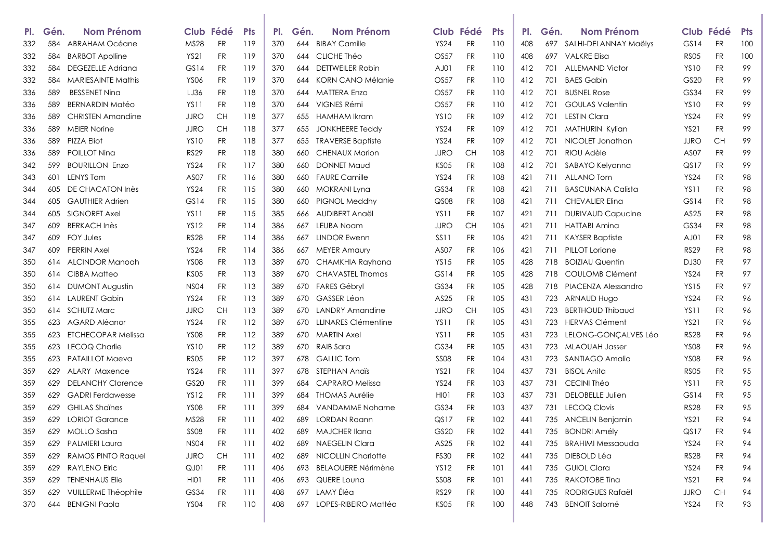| PI. | Gén. | Nom Prénom                 |                  | Club Fédé | <b>Pts</b> | PI. | Gén. | <b>Nom Prénom</b>          |                  | Club Fédé | <b>Pts</b> | PI. | Gén. | <b>Nom Prénom</b>          |                  | Club Fédé | <b>Pts</b> |
|-----|------|----------------------------|------------------|-----------|------------|-----|------|----------------------------|------------------|-----------|------------|-----|------|----------------------------|------------------|-----------|------------|
| 332 | 584  | <b>ABRAHAM Océane</b>      | MS28             | <b>FR</b> | 119        | 370 | 644  | <b>BIBAY Camille</b>       | <b>YS24</b>      | FR        | 110        | 408 |      | 697 SALHI-DELANNAY Maëlys  | GS14             | <b>FR</b> | 100        |
| 332 | 584  | <b>BARBOT Apolline</b>     | <b>YS21</b>      | <b>FR</b> | 119        | 370 | 644  | CLICHE Théo                | OS57             | FR        | 110        | 408 | 697  | <b>VALKRE Elisa</b>        | <b>RS05</b>      | <b>FR</b> | 100        |
| 332 | 584  | <b>DEGEZELLE Adriana</b>   | GS14             | <b>FR</b> | 119        | 370 | 644  | <b>DETTWEILER Robin</b>    | AJ01             | <b>FR</b> | 110        | 412 | 701  | <b>ALLEMAND Victor</b>     | <b>YS10</b>      | <b>FR</b> | 99         |
| 332 | 584  | <b>MARIESAINTE Mathis</b>  | <b>YS06</b>      | <b>FR</b> | 119        | 370 | 644  | <b>KORN CANO Mélanie</b>   | OS57             | FR        | 110        | 412 | 701  | <b>BAES Gabin</b>          | GS20             | <b>FR</b> | 99         |
| 336 | 589  | <b>BESSENET Ning</b>       | LJ36             | <b>FR</b> | 118        | 370 | 644  | <b>MATTERA Enzo</b>        | OS57             | FR        | 110        | 412 | 701  | <b>BUSNEL Rose</b>         | GS34             | <b>FR</b> | 99         |
| 336 | 589  | <b>BERNARDIN Matéo</b>     | YS11             | <b>FR</b> | 118        | 370 | 644  | VIGNES Rémi                | OS57             | FR        | 110        | 412 | 701  | <b>GOULAS Valentin</b>     | <b>YS10</b>      | <b>FR</b> | 99         |
| 336 | 589  | <b>CHRISTEN Amandine</b>   | <b>JJRO</b>      | CH        | 118        | 377 | 655  | HAMHAM Ikram               | <b>YS10</b>      | FR        | 109        | 412 | 701  | <b>LESTIN Clara</b>        | <b>YS24</b>      | <b>FR</b> | 99         |
| 336 | 589  | <b>MEIER Norine</b>        | <b>JJRO</b>      | CH        | 118        | 377 | 655  | <b>JONKHEERE Teddy</b>     | <b>YS24</b>      | FR        | 109        | 412 | 701  | MATHURIN Kylian            | <b>YS21</b>      | <b>FR</b> | 99         |
| 336 | 589  | <b>PIZZA Eliot</b>         | <b>YS10</b>      | <b>FR</b> | 118        | 377 | 655  | <b>TRAVERSE Baptiste</b>   | <b>YS24</b>      | FR        | 109        | 412 | 701  | NICOLET Jonathan           | JJRO             | CH        | 99         |
| 336 | 589  | POILLOT Nina               | <b>RS29</b>      | <b>FR</b> | 118        | 380 | 660  | <b>CHENAUX Marion</b>      | <b>JJRO</b>      | CН        | 108        | 412 | 701  | RIOU Adèle                 | AS <sub>07</sub> | <b>FR</b> | 99         |
| 342 | 599  | <b>BOURILLON Enzo</b>      | <b>YS24</b>      | <b>FR</b> | 117        | 380 | 660  | <b>DONNET Maud</b>         | <b>KS05</b>      | FR        | 108        | 412 | 701  | SABAYO Kelyanna            | QS17             | <b>FR</b> | 99         |
| 343 | 601  | <b>LENYS Tom</b>           | AS <sub>07</sub> | <b>FR</b> | 116        | 380 | 660  | <b>FAURE Camille</b>       | <b>YS24</b>      | FR        | 108        | 421 | 711  | <b>ALLANO Tom</b>          | <b>YS24</b>      | <b>FR</b> | 98         |
| 344 | 605  | DE CHACATON Inès           | <b>YS24</b>      | <b>FR</b> | 115        | 380 | 660  | <b>MOKRANI Lyna</b>        | GS34             | FR        | 108        | 421 | 711  | <b>BASCUNANA Calista</b>   | YS <sub>11</sub> | <b>FR</b> | 98         |
| 344 | 605  | <b>GAUTHIER Adrien</b>     | GS14             | <b>FR</b> | 115        | 380 | 660  | PIGNOL Meddhy              | QS08             | FR        | 108        | 421 | 711  | <b>CHEVALIER Elina</b>     | GS14             | <b>FR</b> | 98         |
| 344 | 605  | SIGNORET Axel              | YS <sub>11</sub> | <b>FR</b> | 115        | 385 | 666  | AUDIBERT Angël             | YS11             | <b>FR</b> | 107        | 421 | 711  | <b>DURIVAUD Capucine</b>   | AS25             | <b>FR</b> | 98         |
| 347 | 609  | <b>BERKACH Inès</b>        | <b>YS12</b>      | <b>FR</b> | 114        | 386 | 667  | <b>LEUBA Noam</b>          | <b>JJRO</b>      | CН        | 106        | 421 | 711  | <b>HATTABI Amina</b>       | GS34             | <b>FR</b> | 98         |
| 347 | 609  | <b>FOY Jules</b>           | <b>RS28</b>      | <b>FR</b> | 114        | 386 | 667  | <b>LINDOR Ewenn</b>        | SS <sub>11</sub> | FR        | 106        | 421 | 711  | KAYSER Baptiste            | AJ01             | <b>FR</b> | 98         |
| 347 | 609  | <b>PERRIN Axel</b>         | <b>YS24</b>      | <b>FR</b> | 114        | 386 | 667  | <b>MEYER Amaury</b>        | AS <sub>07</sub> | <b>FR</b> | 106        | 421 | 711  | <b>PILLOT Loriane</b>      | <b>RS29</b>      | <b>FR</b> | 98         |
| 350 | 614  | ALCINDOR Manoah            | <b>YS08</b>      | <b>FR</b> | 113        | 389 | 670  | CHAMKHIA Rayhana           | <b>YS15</b>      | FR        | 105        | 428 | 718  | <b>BOIZIAU Quentin</b>     | DJ30             | <b>FR</b> | 97         |
| 350 | 614  | CIBBA Matteo               | <b>KS05</b>      | <b>FR</b> | 113        | 389 | 670  | CHAVASTEL Thomas           | GS14             | <b>FR</b> | 105        | 428 | 718  | COULOMB Clément            | <b>YS24</b>      | <b>FR</b> | 97         |
| 350 | 614  | <b>DUMONT Augustin</b>     | <b>NS04</b>      | <b>FR</b> | 113        | 389 | 670  | <b>FARES Gébryl</b>        | GS34             | <b>FR</b> | 105        | 428 | 718  | <b>PIACENZA Alessandro</b> | <b>YS15</b>      | <b>FR</b> | 97         |
| 350 | 614  | <b>LAURENT Gabin</b>       | <b>YS24</b>      | <b>FR</b> | 113        | 389 | 670  | GASSER Léon                | AS25             | FR        | 105        | 431 | 723  | ARNAUD Hugo                | <b>YS24</b>      | <b>FR</b> | 96         |
| 350 | 614  | <b>SCHUTZ Marc</b>         | <b>JJRO</b>      | CH        | 113        | 389 | 670  | <b>LANDRY Amandine</b>     | <b>JJRO</b>      | CН        | 105        | 431 | 723  | <b>BERTHOUD Thibaud</b>    | YS11             | <b>FR</b> | 96         |
| 355 | 623  | AGARD Aléanor              | <b>YS24</b>      | <b>FR</b> | 112        | 389 | 670  | <b>LLINARES Clémentine</b> | YS11             | FR        | 105        | 431 | 723  | <b>HERVAS Clément</b>      | <b>YS21</b>      | <b>FR</b> | 96         |
| 355 | 623  | <b>ETCHECOPAR Melissa</b>  | <b>YS08</b>      | <b>FR</b> | 112        | 389 | 670  | <b>MARTIN Axel</b>         | YS11             | FR        | 105        | 431 |      | 723 LELONG-GONÇALVES Léo   | <b>RS28</b>      | <b>FR</b> | 96         |
| 355 | 623  | LECOQ Charlie              | <b>YS10</b>      | <b>FR</b> | 112        | 389 | 670  | <b>RAIB Sara</b>           | GS34             | FR        | 105        | 431 | 723  | <b>MLAOUAH Jasser</b>      | <b>YS08</b>      | <b>FR</b> | 96         |
| 355 | 623  | <b>PATAILLOT Maeva</b>     | <b>RS05</b>      | <b>FR</b> | 112        | 397 | 678  | <b>GALLIC Tom</b>          | <b>SS08</b>      | FR        | 104        | 431 | 723  | SANTIAGO Amalio            | <b>YS08</b>      | <b>FR</b> | 96         |
| 359 | 629  | ALARY Maxence              | <b>YS24</b>      | <b>FR</b> | 111        | 397 | 678  | STEPHAN Anaïs              | <b>YS21</b>      | FR        | 104        | 437 | 731  | <b>BISOL Anita</b>         | <b>RS05</b>      | <b>FR</b> | 95         |
| 359 | 629  | <b>DELANCHY Clarence</b>   | GS20             | <b>FR</b> | 111        | 399 | 684  | <b>CAPRARO Melissa</b>     | <b>YS24</b>      | <b>FR</b> | 103        | 437 | 731  | <b>CECINI Théo</b>         | YS <sub>11</sub> | <b>FR</b> | 95         |
| 359 | 629  | <b>GADRI</b> Ferdawesse    | <b>YS12</b>      | <b>FR</b> | 111        | 399 | 684  | <b>THOMAS Aurélie</b>      | HIO1             | FR        | 103        | 437 | 731  | <b>DELOBELLE Julien</b>    | GS14             | <b>FR</b> | 95         |
| 359 | 629  | <b>GHILAS Shaines</b>      | <b>YS08</b>      | <b>FR</b> | 111        | 399 | 684  | VANDAMME Nohame            | GS34             | FR        | 103        | 437 | 731  | <b>LECOQ Clovis</b>        | <b>RS28</b>      | <b>FR</b> | 95         |
| 359 | 629  | <b>LORIOT Garance</b>      | MS28             | <b>FR</b> | 111        | 402 | 689  | <b>LORDAN Roann</b>        | QSD7             | <b>FR</b> | 102        | 441 | 735  | <b>ANCELIN Benjamin</b>    | <b>YS21</b>      | <b>FR</b> | 94         |
| 359 | 629  | MOLLO Sasha                | <b>SS08</b>      | <b>FR</b> | 111        | 402 | 689  | <b>MAJCHER Ilana</b>       | GS20             | FR        | 102        | 441 |      | 735 BONDRI Amély           | QS17             | <b>FR</b> | 94         |
| 359 | 629  | <b>PALMIERI Laura</b>      | <b>NS04</b>      | <b>FR</b> | 111        | 402 | 689  | <b>NAEGELIN Clara</b>      | AS25             | <b>FR</b> | 102        | 441 |      | 735 BRAHIMI Messaouda      | <b>YS24</b>      | <b>FR</b> | 94         |
| 359 | 629  | <b>RAMOS PINTO Raquel</b>  | <b>JJRO</b>      | <b>CH</b> | -111       | 402 | 689  | <b>NICOLLIN Charlotte</b>  | <b>FS30</b>      | <b>FR</b> | 102        | 441 |      | 735 DIEBOLD Léa            | <b>RS28</b>      | <b>FR</b> | 94         |
| 359 | 629  | <b>RAYLENO Elric</b>       | QJ01             | <b>FR</b> | 111        | 406 |      | 693 BELAOUERE Nérimène     | <b>YS12</b>      | <b>FR</b> | 101        | 441 |      | 735 GUIOL Clara            | <b>YS24</b>      | <b>FR</b> | 94         |
| 359 | 629  | <b>TENENHAUS Elie</b>      | HI01             | <b>FR</b> | -111       | 406 |      | 693 QUERE Louna            | <b>SS08</b>      | FR        | 101        | 441 |      | 735 RAKOTOBE Tina          | YS21             | <b>FR</b> | 94         |
| 359 | 629  | <b>VUILLERME Théophile</b> | GS34             | <b>FR</b> | -111       | 408 |      | 697 LAMY Éléa              | <b>RS29</b>      | <b>FR</b> | 100        | 441 |      | 735 RODRIGUES Rafaël       | <b>JJRO</b>      | <b>CH</b> | 94         |
| 370 | 644  | <b>BENIGNI Paola</b>       | YS04             | <b>FR</b> | 110        | 408 |      | 697 LOPES-RIBEIRO Mattéo   | KS05             | <b>FR</b> | 100        | 448 |      | 743 BENOIT Salomé          | <b>YS24</b>      | <b>FR</b> | 93         |
|     |      |                            |                  |           |            |     |      |                            |                  |           |            |     |      |                            |                  |           |            |

J.

T.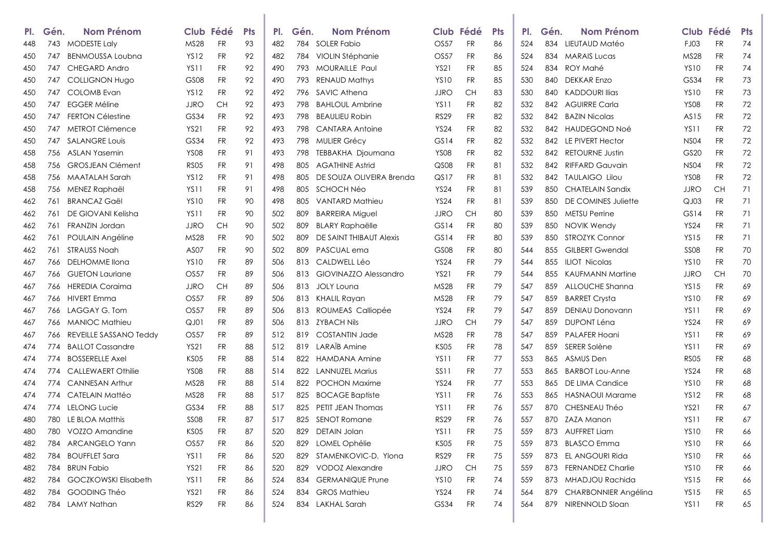| PI. | Gén. | <b>Nom Prénom</b>         |                  | Club Fédé  | <b>Pts</b> | PI. | Gén. | <b>Nom Prénom</b>        |                  | Club Fédé | <b>Pts</b> | PI. | Gén.  | <b>Nom Prénom</b>        |                  | Club Fédé | <b>Pts</b> |
|-----|------|---------------------------|------------------|------------|------------|-----|------|--------------------------|------------------|-----------|------------|-----|-------|--------------------------|------------------|-----------|------------|
| 448 | 743  | <b>MODESTE Laly</b>       | <b>MS28</b>      | <b>FR</b>  | 93         | 482 |      | 784 SOLER Fabio          | <b>OS57</b>      | <b>FR</b> | 86         | 524 |       | 834 LIEUTAUD Matéo       | FJ03             | <b>FR</b> | 74         |
| 450 | 747  | <b>BENMOUSSA Loubna</b>   | <b>YS12</b>      | <b>FR</b>  | 92         | 482 |      | 784 VIOLIN Stéphanie     | <b>OS57</b>      | <b>FR</b> | 86         | 524 | 834   | <b>MARAIS Lucas</b>      | MS28             | FR        | 74         |
| 450 | 747  | <b>CHEGARD Andro</b>      | YS11             | FR         | 92         | 490 | 793  | <b>MOURAILLE Paul</b>    | <b>YS21</b>      | FR        | 85         | 524 | 834   | ROY Mahé                 | <b>YS10</b>      | <b>FR</b> | 74         |
| 450 | 747  | <b>COLLIGNON Hugo</b>     | GS <sub>08</sub> | FR         | 92         | 490 | 793  | <b>RENAUD Mathys</b>     | <b>YS10</b>      | FR        | 85         | 530 | 840   | <b>DEKKAR Enzo</b>       | GS34             | <b>FR</b> | 73         |
| 450 | 747  | <b>COLOMB</b> Evan        | <b>YS12</b>      | <b>FR</b>  | 92         | 492 | 796  | SAVIC Athena             | <b>JJRO</b>      | CН        | 83         | 530 | 840   | <b>KADDOURI Ilias</b>    | <b>YS10</b>      | <b>FR</b> | 73         |
| 450 | 747  | <b>EGGER Méline</b>       | <b>JJRO</b>      | CH         | 92         | 493 | 798  | <b>BAHLOUL Ambrine</b>   | <b>YS11</b>      | FR        | 82         | 532 |       | 842 AGUIRRE Carla        | <b>YS08</b>      | <b>FR</b> | 72         |
| 450 | 747  | <b>FERTON Célestine</b>   | GS34             | FR.        | 92         | 493 | 798  | <b>BEAULIEU Robin</b>    | <b>RS29</b>      | FR        | 82         | 532 |       | 842 BAZIN Nicolas        | AS15             | <b>FR</b> | 72         |
| 450 | 747  | <b>METROT Clémence</b>    | <b>YS21</b>      | <b>FR</b>  | 92         | 493 | 798  | <b>CANTARA Antoine</b>   | <b>YS24</b>      | FR        | 82         | 532 |       | 842 HAUDEGOND Noé        | <b>YS11</b>      | FR        | 72         |
| 450 | 747  | <b>SALANGRE Louis</b>     | GS34             | FR         | 92         | 493 | 798  | <b>MULIER Grécy</b>      | GS14             | FR        | 82         | 532 |       | 842 LE PIVERT Hector     | <b>NS04</b>      | FR        | 72         |
| 458 | 756  | ASLAN Yasemin             | <b>YS08</b>      | <b>FR</b>  | 91         | 493 | 798  | TEBBAKHA Djoumana        | <b>YS08</b>      | FR        | 82         | 532 | 842   | <b>RETOURNE Justin</b>   | GS20             | FR        | 72         |
| 458 | 756  | <b>GROSJEAN Clément</b>   | <b>RS05</b>      | <b>FR</b>  | 91         | 498 | 805  | <b>AGATHINE Astrid</b>   | QS <sub>08</sub> | <b>FR</b> | 81         | 532 | 842   | RIFFARD Gauvain          | <b>NS04</b>      | <b>FR</b> | 72         |
| 458 | 756  | MAATALAH Sarah            | <b>YS12</b>      | FR         | 91         | 498 | 805  | DE SOUZA OLIVEIRA Brenda | QST              | FR        | 81         | 532 |       | 842 TAULAIGO Lilou       | <b>YS08</b>      | FR        | 72         |
| 458 | 756  | MENEZ Raphaël             | YS11             | <b>FR</b>  | 91         | 498 | 805  | SCHOCH Néo               | <b>YS24</b>      | FR        | 81         | 539 | 850   | <b>CHATELAIN Sandix</b>  | <b>JJRO</b>      | <b>CH</b> | 71         |
| 462 | 761  | <b>BRANCAZ Gaël</b>       | YS <sub>10</sub> | <b>FR</b>  | 90         | 498 | 805  | VANTARD Mathieu          | <b>YS24</b>      | <b>FR</b> | 81         | 539 | 850   | DE COMINES Juliette      | QJ03             | <b>FR</b> | 71         |
| 462 | 761  | DE GIOVANI Kelisha        | YS <sub>11</sub> | FR         | 90         | 502 | 809  | <b>BARREIRA Miguel</b>   | <b>JJRO</b>      | <b>CH</b> | 80         | 539 | 850   | <b>METSU Perrine</b>     | GS14             | FR        | 71         |
| 462 | 761  | FRANZIN Jordan            | <b>JJRO</b>      | CH         | 90         | 502 | 809  | <b>BLARY Raphaëlle</b>   | GS14             | FR        | 80         | 539 | 850   | <b>NOVIK Wendy</b>       | <b>YS24</b>      | <b>FR</b> | 71         |
| 462 | 761  | POULAIN Angéline          | MS28             | <b>FR</b>  | 90         | 502 | 809  | DE SAINT THIBAUT Alexis  | GS14             | FR        | 80         | 539 | 850   | <b>STROZYK Connor</b>    | <b>YS15</b>      | <b>FR</b> | 71         |
| 462 | 761  | <b>STRAUSS Noah</b>       | AS <sub>07</sub> | <b>FR</b>  | 90         | 502 | 809  | PASCUAL ema              | GS <sub>08</sub> | FR        | 80         | 544 | 855   | <b>GILBERT Gwendal</b>   | <b>SS08</b>      | FR        | 70         |
| 467 | 766  | DELHOMME IIona            | <b>YS10</b>      | <b>FR</b>  | 89         | 506 |      | 813 CALDWELL Léo         | <b>YS24</b>      | <b>FR</b> | 79         | 544 |       | 855 ILIOT Nicolas        | <b>YS10</b>      | <b>FR</b> | 70         |
| 467 | 766  | <b>GUETON Lauriane</b>    | OS57             | FR         | 89         | 506 | 813  | GIOVINAZZO Alessandro    | <b>YS21</b>      | FR        | 79         | 544 | 855   | KAUFMANN Martine         | JJRO             | <b>CH</b> | 70         |
| 467 | 766  | <b>HEREDIA Coraima</b>    | <b>JJRO</b>      | CH         | 89         | 506 | 813  | JOLY Louna               | <b>MS28</b>      | FR        | 79         | 547 | 859   | ALLOUCHE Shanna          | <b>YS15</b>      | <b>FR</b> | 69         |
| 467 | 766  | <b>HIVERT Emma</b>        | OS57             | FR         | 89         | 506 |      | 813 KHALIL Rayan         | <b>MS28</b>      | FR        | 79         | 547 | 859   | <b>BARRET Crysta</b>     | <b>YS10</b>      | <b>FR</b> | 69         |
| 467 | 766  | LAGGAY G. Tom             | OS57             | FR         | 89         | 506 | 813  | ROUMEAS Calliopée        | <b>YS24</b>      | FR        | 79         | 547 | 859   | <b>DENIAU Donovann</b>   | YS11             | FR        | 69         |
| 467 | 766  | <b>MANIOC Mathieu</b>     | QJO1             | FR         | 89         | 506 | 813  | ZYBACH Nils              | <b>JJRO</b>      | CН        | 79         | 547 | 859   | DUPONT Léna              | <b>YS24</b>      | FR        | 69         |
| 467 | 766  | REVEILLE SASSANO Teddy    | <b>OS57</b>      | <b>FR</b>  | 89         | 512 | 819  | <b>COSTANTIN Jade</b>    | <b>MS28</b>      | <b>FR</b> | 78         | 547 | 859   | <b>PALAFER Hoani</b>     | <b>YS11</b>      | <b>FR</b> | 69         |
| 474 | 774  | <b>BALLOT Cassandre</b>   | YS21             | FR         | 88         | 512 | 819  | LARAÏB Amine             | <b>KS05</b>      | FR        | 78         | 547 | 859   | SERER Solène             | YS11             | FR        | 69         |
| 474 | 774  | <b>BOSSERELLE Axel</b>    | <b>KS05</b>      | FR         | 88         | 514 | 822  | HAMDANA Amine            | <b>YS11</b>      | FR        | 77         | 553 | 865   | ASMUS Den                | <b>RS05</b>      | <b>FR</b> | 68         |
| 474 | 774  | <b>CALLEWAERT Othilie</b> | <b>YS08</b>      | FR         | 88         | 514 | 822  | <b>LANNUZEL Marius</b>   | SS11             | FR        | 77         | 553 | 865   | <b>BARBOT Lou-Anne</b>   | <b>YS24</b>      | <b>FR</b> | 68         |
| 474 | 774  | <b>CANNESAN Arthur</b>    | MS28             | <b>FR</b>  | 88         | 514 | 822  | <b>POCHON Maxime</b>     | <b>YS24</b>      | FR        | 77         | 553 | 865   | DE LIMA Candice          | <b>YS10</b>      | FR        | 68         |
| 474 | 774  | CATELAIN Mattéo           | MS28             | <b>FR</b>  | 88         | 517 | 825  | <b>BOCAGE Baptiste</b>   | YS <sub>11</sub> | FR        | 76         | 553 | 865   | <b>HASNAOUI Marame</b>   | <b>YS12</b>      | FR        | 68         |
| 474 | 774  | LELONG Lucie              | GS34             | FR         | 88         | 517 | 825  | PETIT JEAN Thomas        | YS <sub>11</sub> | FR        | 76         | 557 | 870   | CHESNEAU Théo            | <b>YS21</b>      | FR        | 67         |
| 480 | 780  | LE BLOA Matthis           | <b>SS08</b>      | FR         | 87         | 517 | 825  | <b>SENOT Romane</b>      | <b>RS29</b>      | FR        | 76         | 557 | 870 - | ZAZA Manon               | YS <sub>11</sub> | FR        | 67         |
| 480 | 780  | VOZZO Amandine            | <b>KS05</b>      | <b>FR</b>  | 87         | 520 | 829  | <b>DETAIN Jolan</b>      | YS <sub>11</sub> | <b>FR</b> | 75         | 559 |       | 873 AUFFRET Liam         | <b>YS10</b>      | FR        | 66         |
| 482 | 784  | <b>ARCANGELO Yann</b>     | OS <sub>57</sub> | <b>FR</b>  | 86         | 520 |      | 829 LOMEL Ophélie        | KS05             | <b>FR</b> | 75         | 559 |       | 873 BLASCO Emma          | <b>YS10</b>      | <b>FR</b> | 66         |
| 482 | 784  | <b>BOUFFLET Sara</b>      | YS11             | <b>FR</b>  | 86         | 520 |      | 829 STAMENKOVIC-D. Ylona | <b>RS29</b>      | <b>FR</b> | 75         | 559 |       | 873 EL ANGOURI Rida      | <b>YS10</b>      | FR        | 66         |
| 482 |      | 784 BRUN Fabio            | YS21             | <b>FR</b>  | 86         | 520 |      | 829 VODOZ Alexandre      | <b>JJRO</b>      | <b>CH</b> | 75         | 559 |       | 873 FERNANDEZ Charlie    | <b>YS10</b>      | FR        | 66         |
| 482 |      | 784 GOCZKOWSKI Elisabeth  | YS11             | <b>FR</b>  | 86         | 524 |      | 834 GERMANIQUE Prune     | <b>YS10</b>      | <b>FR</b> | 74         | 559 |       | 873 MHADJOU Rachida      | <b>YS15</b>      | FR        | 66         |
| 482 | 784  | GOODING Théo              | YS21             | <b>FR</b>  | 86         | 524 |      | 834 GROS Mathieu         | <b>YS24</b>      | <b>FR</b> | 74         | 564 |       | 879 CHARBONNIER Angélina | <b>YS15</b>      | <b>FR</b> | 65         |
| 482 |      | 784 LAMY Nathan           | <b>RS29</b>      | ${\sf FR}$ | 86         | 524 |      | 834 LAKHAL Sarah         | GS34             | <b>FR</b> | 74         | 564 |       | 879 NIRENNOLD Sloan      | YS11             | FR.       | 65         |
|     |      |                           |                  |            |            |     |      |                          |                  |           |            |     |       |                          |                  |           |            |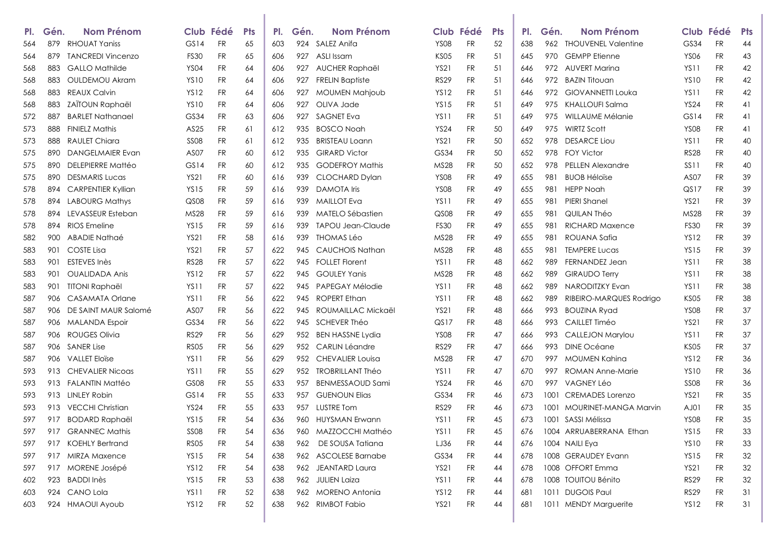| PI. | Gén. | Nom Prénom                |                  | Club Fédé | <b>Pts</b> | PI. | Gén. | <b>Nom Prénom</b>        |                  | Club Fédé | <b>Pts</b> | PI. | Gén. | Nom Prénom                 |                  | Club Fédé | <b>Pts</b> |
|-----|------|---------------------------|------------------|-----------|------------|-----|------|--------------------------|------------------|-----------|------------|-----|------|----------------------------|------------------|-----------|------------|
| 564 | 879  | <b>RHOUAT Yaniss</b>      | GS14             | <b>FR</b> | 65         | 603 | 924  | SALEZ Anifa              | YS08             | FR        | 52         | 638 |      | 962 THOUVENEL Valentine    | GS34             | <b>FR</b> | 44         |
| 564 | 879  | <b>TANCREDI Vincenzo</b>  | <b>FS30</b>      | <b>FR</b> | 65         | 606 | 927  | ASLI Issam               | <b>KS05</b>      | FR        | 51         | 645 | 970  | <b>GEMPP Etienne</b>       | <b>YS06</b>      | FR        | 43         |
| 568 | 883  | <b>GALLO Mathilde</b>     | <b>YS04</b>      | FR        | 64         | 606 | 927  | AUCHER Raphaël           | <b>YS21</b>      | FR        | 51         | 646 |      | 972 AUVERT Marina          | YS <sub>11</sub> | <b>FR</b> | 42         |
| 568 | 883  | <b>OULDEMOU Akram</b>     | <b>YS10</b>      | FR        | 64         | 606 | 927  | <b>FRELIN Baptiste</b>   | <b>RS29</b>      | FR        | 51         | 646 |      | 972 BAZIN Titouan          | <b>YS10</b>      | <b>FR</b> | 42         |
| 568 | 883  | <b>REAUX Calvin</b>       | <b>YS12</b>      | FR        | 64         | 606 | 927  | <b>MOUMEN Mahjoub</b>    | <b>YS12</b>      | FR        | 51         | 646 | 972  | <b>GIOVANNETTI Louka</b>   | <b>YS11</b>      | <b>FR</b> | 42         |
| 568 | 883  | ZAÏTOUN Raphaël           | <b>YS10</b>      | FR        | 64         | 606 | 927  | OLIVA Jade               | <b>YS15</b>      | FR        | 51         | 649 |      | 975 KHALLOUFI Salma        | <b>YS24</b>      | <b>FR</b> | 41         |
| 572 | 887  | <b>BARLET Nathanael</b>   | GS34             | FR        | 63         | 606 | 927  | <b>SAGNET Eva</b>        | YS11             | FR        | 51         | 649 | 975  | WILLAUME Mélanie           | GS14             | FR        | 41         |
| 573 | 888  | <b>FINIELZ Mathis</b>     | AS25             | <b>FR</b> | 61         | 612 | 935  | <b>BOSCO Noah</b>        | <b>YS24</b>      | FR        | 50         | 649 | 975  | <b>WIRTZ Scott</b>         | <b>YS08</b>      | FR        | 41         |
| 573 | 888  | <b>RAULET Chiara</b>      | <b>SS08</b>      | FR        | 61         | 612 | 935  | <b>BRISTEAU Loann</b>    | <b>YS21</b>      | FR        | 50         | 652 | 978  | <b>DESARCE Liou</b>        | YS <sub>11</sub> | <b>FR</b> | 40         |
| 575 | 890  | <b>DANGELMAIER Evan</b>   | AS <sub>07</sub> | FR        | 60         | 612 | 935  | <b>GIRARD Victor</b>     | GS34             | FR        | 50         | 652 | 978  | <b>FOY Victor</b>          | <b>RS28</b>      | <b>FR</b> | 40         |
| 575 | 890  | DELEPIERRE Mattéo         | GS14             | FR        | 60         | 612 | 935  | <b>GODEFROY Mathis</b>   | MS28             | FR        | 50         | 652 | 978  | <b>PELLEN Alexandre</b>    | SS11             | <b>FR</b> | 40         |
| 575 | 890  | <b>DESMARIS Lucas</b>     | YS21             | FR        | 60         | 616 | 939  | <b>CLOCHARD Dylan</b>    | <b>YS08</b>      | FR        | 49         | 655 | 981  | <b>BUOB Héloïse</b>        | AS <sub>07</sub> | FR        | 39         |
| 578 | 894  | <b>CARPENTIER Kyllian</b> | <b>YS15</b>      | FR        | 59         | 616 | 939  | <b>DAMOTA</b> Iris       | <b>YS08</b>      | FR        | 49         | 655 | 981  | <b>HEPP Noah</b>           | QS17             | FR        | 39         |
| 578 | 894  | <b>LABOURG Mathys</b>     | QS <sub>08</sub> | FR        | 59         | 616 | 939  | <b>MAILLOT</b> Eva       | YS11             | FR        | 49         | 655 | 981  | <b>PIERI Shanel</b>        | <b>YS21</b>      | <b>FR</b> | 39         |
| 578 | 894  | LEVASSEUR Esteban         | <b>MS28</b>      | FR        | 59         | 616 | 939  | MATELO Sébastien         | QS08             | FR        | 49         | 655 | 981  | QUILAN Théo                | MS28             | <b>FR</b> | 39         |
| 578 | 894  | RIOS Emeline              | <b>YS15</b>      | <b>FR</b> | 59         | 616 | 939  | <b>TAPOU Jean-Claude</b> | <b>FS30</b>      | <b>FR</b> | 49         | 655 | 981  | <b>RICHARD Maxence</b>     | <b>FS30</b>      | <b>FR</b> | 39         |
| 582 | 900  | ABADIE Nathaé             | <b>YS21</b>      | FR        | 58         | 616 | 939  | THOMAS Léo               | MS28             | FR        | 49         | 655 | 981  | ROUANA Safia               | <b>YS12</b>      | <b>FR</b> | 39         |
| 583 | 901  | COSTE Lisa                | YS21             | FR        | 57         | 622 | 945  | CAUCHOIS Nathan          | <b>MS28</b>      | FR        | 48         | 655 | 981  | <b>TEMPERE Lucas</b>       | <b>YS15</b>      | FR        | 39         |
| 583 | 901  | ESTEVES Inès              | <b>RS28</b>      | FR        | 57         | 622 | 945  | <b>FOLLET Florent</b>    | YS11             | FR        | 48         | 662 | 989  | <b>FERNANDEZ Jean</b>      | <b>YS11</b>      | FR        | 38         |
| 583 | 901  | <b>OUALIDADA Anis</b>     | <b>YS12</b>      | FR        | 57         | 622 | 945  | <b>GOULEY Yanis</b>      | <b>MS28</b>      | FR        | 48         | 662 | 989  | <b>GIRAUDO Terry</b>       | <b>YS11</b>      | <b>FR</b> | 38         |
| 583 | 901  | <b>TITONI Raphaël</b>     | <b>YS11</b>      | FR        | 57         | 622 | 945  | PAPEGAY Mélodie          | YS11             | <b>FR</b> | 48         | 662 | 989  | NARODITZKY Evan            | <b>YS11</b>      | FR        | 38         |
| 587 | 906  | CASAMATA Orlane           | <b>YS11</b>      | FR        | 56         | 622 | 945  | <b>ROPERT Ethan</b>      | YS <sub>11</sub> | FR        | 48         | 662 | 989  | RIBEIRO-MARQUES Rodrigo    | <b>KS05</b>      | <b>FR</b> | 38         |
| 587 | 906  | DE SAINT MAUR Salomé      | AS <sub>07</sub> | FR        | 56         | 622 | 945  | ROUMAILLAC Mickaël       | <b>YS21</b>      | FR        | 48         | 666 | 993  | <b>BOUZINA Ryad</b>        | <b>YS08</b>      | <b>FR</b> | 37         |
| 587 | 906  | <b>MALANDA Espoir</b>     | GS34             | FR        | 56         | 622 | 945  | SCHEVER Théo             | QS17             | FR        | 48         | 666 | 993  | CAILLET Timéo              | YS21             | FR        | 37         |
| 587 | 906  | <b>ROUGES Olivia</b>      | <b>RS29</b>      | FR        | 56         | 629 | 952  | <b>BEN HASSNE Lydia</b>  | <b>YS08</b>      | FR        | 47         | 666 | 993  | <b>CALLEJON Marylou</b>    | <b>YS11</b>      | <b>FR</b> | 37         |
| 587 | 906  | <b>SANER Lise</b>         | <b>RS05</b>      | FR        | 56         | 629 | 952  | <b>CARLIN Léandre</b>    | <b>RS29</b>      | FR        | 47         | 666 | 993  | <b>DINE Océane</b>         | <b>KS05</b>      | <b>FR</b> | 37         |
| 587 | 906  | <b>VALLET Eloïse</b>      | <b>YS11</b>      | <b>FR</b> | 56         | 629 | 952  | <b>CHEVALIER Louisa</b>  | MS28             | <b>FR</b> | 47         | 670 | 997  | <b>MOUMEN Kahina</b>       | <b>YS12</b>      | <b>FR</b> | 36         |
| 593 | 913  | <b>CHEVALIER Nicogs</b>   | <b>YS11</b>      | <b>FR</b> | 55         | 629 | 952  | TROBRILLANT Théo         | YS <sub>11</sub> | FR        | 47         | 670 | 997  | ROMAN Anne-Marie           | <b>YS10</b>      | <b>FR</b> | 36         |
| 593 | 913  | FALANTIN Mattéo           | GS <sub>08</sub> | FR        | 55         | 633 | 957  | <b>BENMESSAOUD Sami</b>  | YS24             | FR        | 46         | 670 | 997  | <b>VAGNEY Léo</b>          | <b>SS08</b>      | FR        | 36         |
| 593 | 913  | <b>LINLEY Robin</b>       | GS14             | FR        | 55         | 633 | 957  | <b>GUENOUN Elias</b>     | GS34             | FR        | 46         | 673 | 1001 | <b>CREMADES</b> Lorenzo    | <b>YS21</b>      | FR        | 35         |
| 593 | 913  | <b>VECCHI Christian</b>   | <b>YS24</b>      | FR        | 55         | 633 | 957  | <b>LUSTRE Tom</b>        | <b>RS29</b>      | FR        | 46         | 673 |      | 1001 MOURINET-MANGA Marvin | AJ01             | FR        | 35         |
| 597 | 917  | <b>BODARD Raphaël</b>     | YS 15            | <b>FR</b> | 54         | 636 | 960  | <b>HUYSMAN Erwann</b>    | <b>YS11</b>      | <b>FR</b> | 45         | 673 | 1001 | SASSI Mélissa              | <b>YS08</b>      | FR        | 35         |
| 597 | 917  | <b>GRANNEC Mathis</b>     | <b>SS08</b>      | <b>FR</b> | 54         | 636 | 960  | MAZZOCCHI Mathéo         | <b>YS11</b>      | <b>FR</b> | 45         | 676 |      | 1004 ARRUABERRANA Ethan    | <b>YS15</b>      | FR        | 33         |
| 597 | 917  | <b>KOEHLY Bertrand</b>    | RS05             | <b>FR</b> | 54         | 638 | 962  | DE SOUSA Tatiana         | LJ36             | <b>FR</b> | 44         | 676 |      | 1004 NAILI Eya             | <b>YS10</b>      | FR.       | 33         |
| 597 | 917  | <b>MIRZA Maxence</b>      | <b>YS15</b>      | FR        | 54         | 638 |      | 962 ASCOLESE Barnabe     | GS34             | FR        | 44         | 678 |      | 1008 GERAUDEY Evann        | <b>YS15</b>      | FR        | 32         |
| 597 |      | 917 MORENE Josépé         | YS12             | FR        | 54         | 638 |      | 962 JEANTARD Laura       | YS21             | FR        | 44         | 678 |      | 1008 OFFORT Emma           | YS21             | FR.       | $32\,$     |
| 602 |      | 923 BADDI Inès            | <b>YS15</b>      | <b>FR</b> | 53         | 638 |      | 962 JULIEN Laiza         | <b>YS11</b>      | FR        | 44         | 678 |      | 1008 TOUITOU Bénito        | <b>RS29</b>      | FR.       | 32         |
| 603 |      | 924 CANO Lola             | YS11             | <b>FR</b> | 52         | 638 |      | 962 MORENO Antonia       | <b>YS12</b>      | FR        | 44         | 681 |      | 1011 DUGOIS Paul           | <b>RS29</b>      | FR.       | 31         |
| 603 |      | 924 HMAOUI Ayoub          | YS12             | <b>FR</b> | 52         | 638 |      | 962 RIMBOT Fabio         | <b>YS21</b>      | <b>FR</b> | 44         | 681 |      | 1011 MENDY Marguerite      | <b>YS12</b>      | <b>FR</b> | 31         |
|     |      |                           |                  |           |            |     |      |                          |                  |           |            |     |      |                            |                  |           |            |